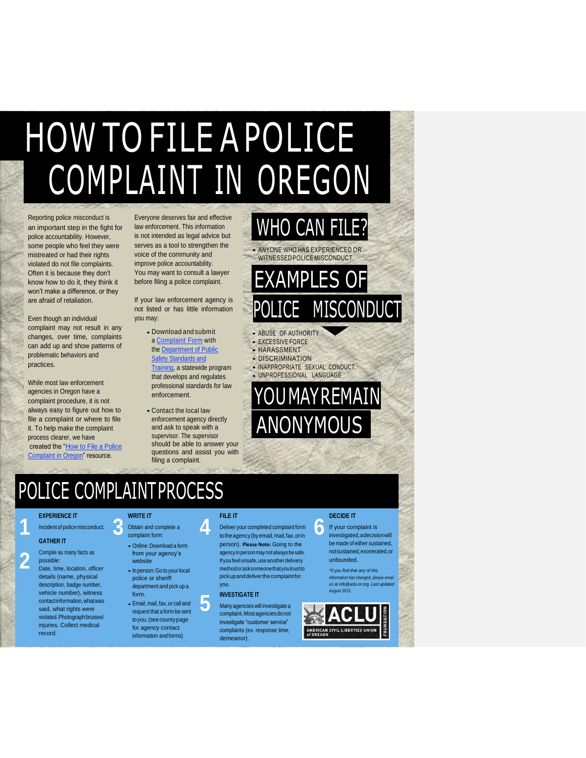## HOW TO FILE A POLICE COMPLAINT IN OREGON

Reporting police misconduct is an important step in the fight for police accountability. However, some people who feel they were mistreated or had their rights violated do not file complaints. Often it is because they don't know how to do it, they think it won't make a difference, or they are afraid of retaliation.

Even though an individual complaint may not result in any changes, over time, complaints can add up and show patterns of problematic behaviors and practices.

While most law enforcement agencies in Oregon have a complaint procedure, it is not always easy to figure out how to file a complaint or where to file it. To help make the complaint process clearer, we have created the "How to File a Police Complaint in Oregon" resource.

Everyone deserves fair and effective law enforcement. This information is not intended as legal advice but serves as a tool to strengthen the voice of the community and improve police accountability. You may want to consult a lawyer before filing a police complaint.

If your law enforcement agency is not listed or has little information you may:

- Download and submit a **Complaint Form** with the Department of Public **Safety Standards and** Training, a statewide program that develops and regulates professional standards for law enforcement.
- Contact the local law enforcement agency directly and ask to speak with a supervisor. The supervisor should be able to answer your questions and assist you with filing a complaint.

### WHO CAN FILE? • ANYONE WHO HAS EXPERIENCED OR

WITNESSED POLICE MISCONDUCT.

## **AMPLES OF** MISCONDUCT

- ABUSE OF AUTHORITY
- EXCESSIVE FORCE • HARASSMENT
- DISCRIMINATION
- INAPPROPRIATE SEXUAL CONDUCT
- UNPROFESSIONAL LANGUAGE

)U MAY REMAIN ANONYMOUS

## POLICE COMPLAINTPROCESS

#### **EXPERIENCE IT**

Incident of police misconduct.

#### **GATHER IT**

**1**

- **2** Compile as many facts as possible: Date, time, location, officer details (name, physical
	- description, badge number, vehicle number), witness contactinformation,whatwas said, what rights were violated. Photograph bruises/ injuries. Collect medical record.

### **3 WRITE IT**

#### Obtain and complete a complaint form:

- Online: Download <sup>a</sup> form from your agency's website
- In person: Go to your local police or sheriff department and pick up a form.
- Email, mail,fax,or call and request that a form be sent toyou.(seecountypage for agency contact information andforms)

### **FILE IT**

**4**

**5**

Deliver your completed complaint form totheagency(byemail,mail,fax,orin person). **Please Note:** Going to the agency inpersonmaynot alwaysbesafe. If you feel unsafe, use another delivery methodorasksomeonethatyoutrustto pickupanddeliverthecomplaintfor you.

#### **INVESTIGATE IT**

Manyagencies will investigate a complaint. Most agencies do not investigate "customer service" complaints (ex. response time, demeanor).

### **DECIDE IT**

**6** If your complaint is investigated,adecisionwill be made of either sustained, notsustained,exonerated,or unfounded.

> *\*If you find that any of this information has changed, please email us a[t info@aclu-or.org, L](mailto:info@aclu-or.org)ast updated August 2015.*

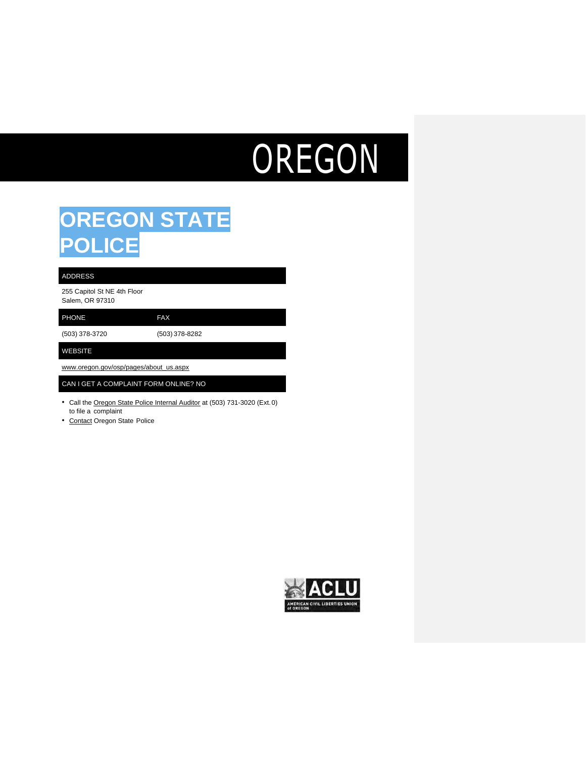# OREGON

### **OREGON STATE POLICE**

#### ADDRESS

255 Capitol St NE 4th Floor Salem, OR 97310

PHONE FAX

(503) 378-3720 (503) 378-8282

WEBSITE

[www.oregon.gov/osp/pages/about\\_us.aspx](http://www.oregon.gov/osp/pages/about_us.aspx)

#### CAN I GET A COMPLAINT FORM ONLINE? NO

- Call the Oregon State Police Internal Auditor at (503) 731-3020 (Ext.0) to file a complaint
- Contact Oregon State Police

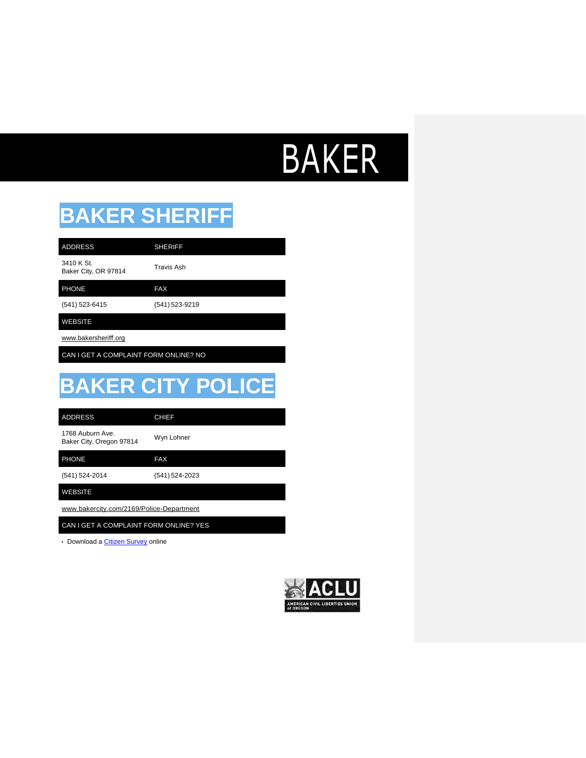## BAKER

### **BAKER SHERIFF**

3410 K St. ADDRESS SHERIFF

3410 K St.<br>Baker City, OR 97814 Travis Ash

PHONE FAX

(541) 523-6415 (541) 523-9219

WEBSITE

[www.bakersheri](http://www.bakersheriff.org/)ff.org

CAN I GET A COMPLAINT FORM ONLINE? NO

## **BAKER CITY POLICE**

| <b>ADDRESS</b>                              | <b>CHIEF</b>   |
|---------------------------------------------|----------------|
| 1768 Auburn Ave<br>Baker City, Oregon 97814 | Wyn Lohner     |
| <b>PHONE</b>                                | <b>FAX</b>     |
| (541) 524-2014                              | (541) 524-2023 |
| <b>WEBSITE</b>                              |                |
| www.bakercity.com/2169/Police-Department    |                |

CAN I GET A COMPLAINT FORM ONLINE? YES

• Download a [Citizen Survey](http://www.bakercity.com/FormCenter/General-3/Contact-Us-34) online

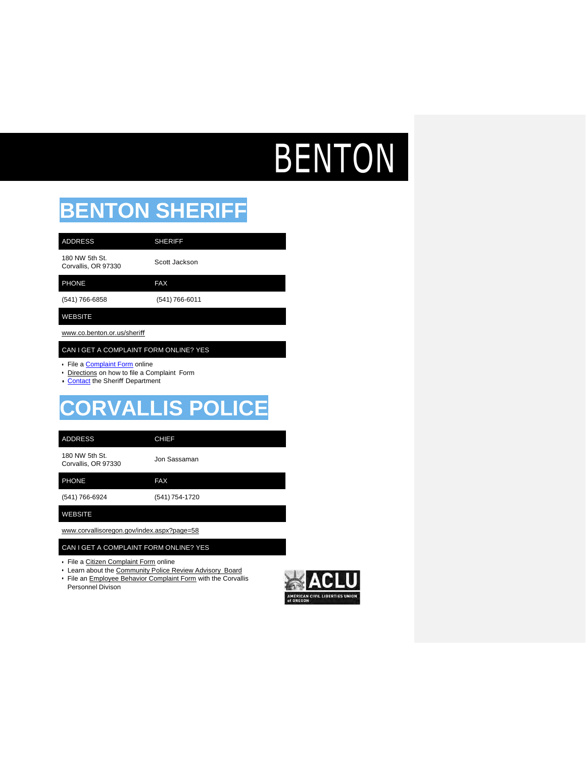# BENTON

## **BENTON SHERIFF**

| <b>ADDRESS</b>                        | <b>SHERIFF</b> |
|---------------------------------------|----------------|
| 180 NW 5th St.<br>Corvallis, OR 97330 | Scott Jackson  |
| <b>PHONE</b>                          | <b>FAX</b>     |
| (541) 766-6858                        | (541) 766-6011 |
|                                       |                |

#### WEBSITE

[www.co.benton.or.us/sheri](http://www.co.benton.or.us/sheri%EF%AC%80)ff

#### CAN I GET A COMPLAINT FORM ONLINE? YES

- File a [Complaint Form](https://www.co.benton.or.us/sheriff/custom-contact-page/sheriffs-office-contact-information) online
- Directions on how to file a Complaint Form
- [Contact](https://www.co.benton.or.us/sheriff/custom-contact-page/sheriffs-office-contact-information) the Sheriff Department

### **CORVALLIS POLICE**

#### ADDRESS CHIEF

180 NW 5th St. Too NVV 5th St.<br>Corvallis, OR 97330 Jon Sassaman

PHONE FAX

(541) 766-6924 (541) 754-1720

WEBSITE

[www.corvallisoregon.gov/index.aspx?page=58](http://www.corvallisoregon.gov/index.aspx?page=58)

### CAN I GET A COMPLAINT FORM ONLINE? YES

- File a Citizen Complaint Form online
- Learn about the Community Police Review Advisory Board
- File an Employee Behavior Complaint Form with the Corvallis Personnel Divison
- AN CIVIL LIBERTIES UN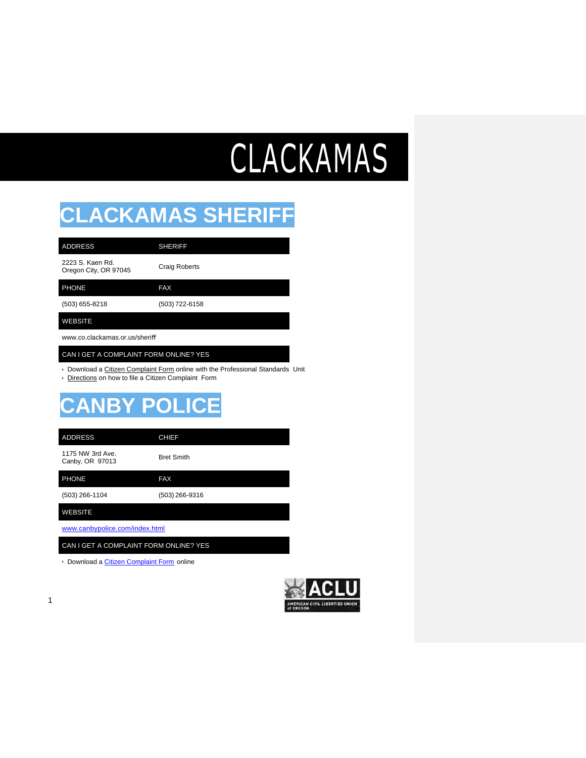# CLACKAMAS

### **CLACKAMAS SHERIFF**

| <b>ADDRESS</b>                            | <b>SHERIFF</b>       |
|-------------------------------------------|----------------------|
| 2223 S. Kaen Rd.<br>Oregon City, OR 97045 | <b>Craig Roberts</b> |
| <b>PHONE</b>                              | <b>FAX</b>           |
| (503) 655-8218                            | (503) 722-6158       |
|                                           |                      |

### WEBSITE

[www.co.clackamas.or.us/sheri](http://www.co.clackamas.or.us/sheri%EF%AC%80)ff

#### CAN I GET A COMPLAINT FORM ONLINE? YES

• Download a Citizen Complaint Form online with the Professional Standards Unit

• Directions on how to file a Citizen Complaint Form

### **CANBY POLICE**

| <b>ADDRESS</b>                      | <b>CHIEF</b>      |
|-------------------------------------|-------------------|
| 1175 NW 3rd Ave.<br>Canby, OR 97013 | <b>Bret Smith</b> |
| <b>PHONE</b>                        | <b>FAX</b>        |
| (503) 266-1104                      | (503) 266-9316    |

WEBSITE

1

[www.canbypolice.com/index.html](http://www.canbypolice.com/index.html)

CAN I GET A COMPLAINT FORM ONLINE? YES

• Download a *Citizen Complaint Form* online

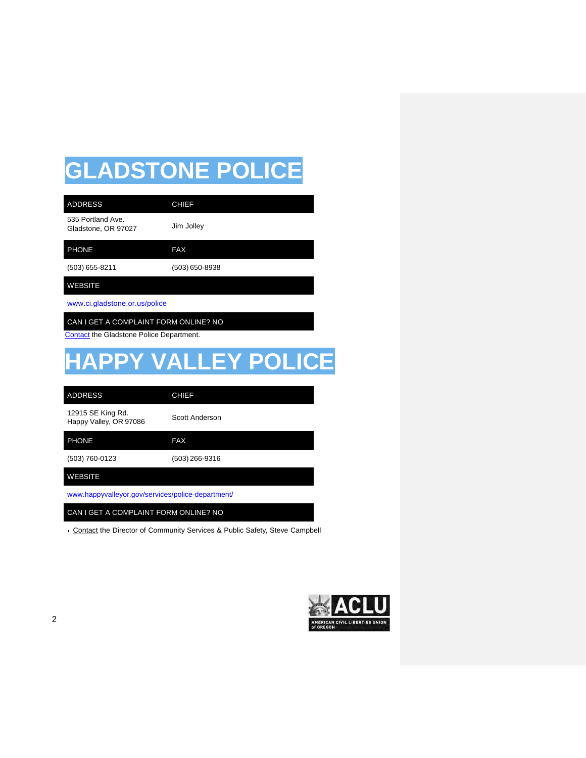## **GLADSTONE POLICE**

| <b>ADDRESS</b>                                                                    | <b>CHIEF</b>               |
|-----------------------------------------------------------------------------------|----------------------------|
| 535 Portland Ave.<br>Gladstone, OR 97027                                          | Jim Jolley                 |
| <b>PHONE</b>                                                                      | <b>FAX</b>                 |
| $(503)$ 655-8211                                                                  | $(503)$ 650-8938           |
| <b>WEBSITE</b>                                                                    |                            |
| www.ci.gladstone.or.us/police                                                     |                            |
| CAN I GET A COMPLAINT FORM ONLINE? NO<br>Contact the Gladstone Police Department. |                            |
|                                                                                   | <b>HAPPY VALLEY POLICE</b> |
| <b>ADDRESS</b>                                                                    | <b>CHIEF</b>               |
| 12915 SE King Rd.<br>Happy Valley, OR 97086                                       | Scott Anderson             |
| <b>PHONE</b>                                                                      | <b>FAX</b>                 |
| (503) 760-0123                                                                    | $(503)$ 266-9316           |
| <b>WEBSITE</b>                                                                    |                            |

[www.happyvalleyor.gov/services/police-department/](http://www.happyvalleyor.gov/services/police-department/)

CAN I GET A COMPLAINT FORM ONLINE? NO

• Contact the Director of Community Services & Public Safety, Steve Campbell

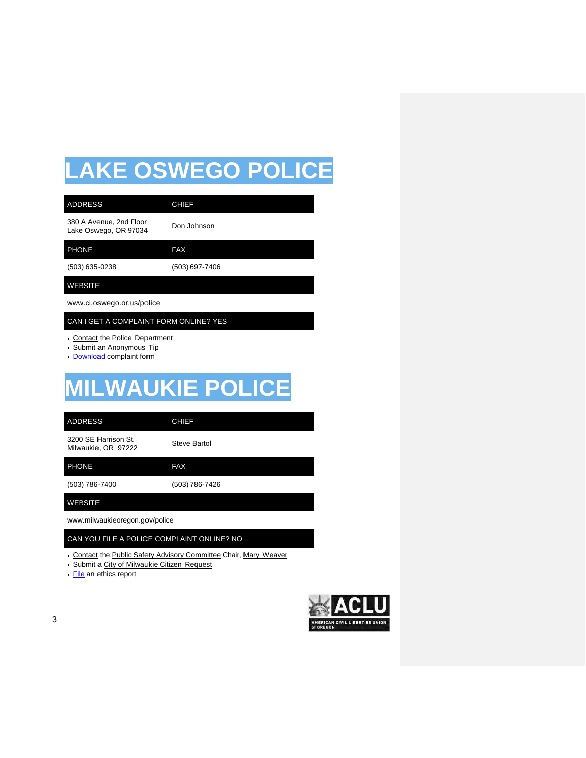## **LAKE OSWEGO POLICE**

| <b>ADDRESS</b>                                                                            | <b>CHIEF</b>   |  |
|-------------------------------------------------------------------------------------------|----------------|--|
| 380 A Avenue, 2nd Floor<br>Lake Oswego, OR 97034                                          | Don Johnson    |  |
| <b>PHONE</b>                                                                              | <b>FAX</b>     |  |
| $(503)$ 635-0238                                                                          | (503) 697-7406 |  |
| <b>WEBSITE</b>                                                                            |                |  |
| www.ci.oswego.or.us/police                                                                |                |  |
| CAN I GET A COMPLAINT FORM ONLINE? YES                                                    |                |  |
| • Contact the Police Department<br>• Submit an Anonymous Tip<br>• Download complaint form |                |  |
| <b>MILWAUKIE POLICE</b>                                                                   |                |  |

ADDRESS CHIEF

3200 SE Harrison St. 3200 SE Harrison St.<br>Milwaukie, OR 97222 Steve Bartol

PHONE FAX

(503) 786-7400 (503) 786-7426

WEBSITE

[www.milwaukieoregon.gov/police](http://www.milwaukieoregon.gov/police)

CAN YOU FILE A POLICE COMPLAINT ONLINE? NO

- Contact the Public Safety Advisory Committee Chair, Mary Weaver
- Submit a City of Milwaukie Citizen Request
- [File](https://secure.ethicspoint.com/domain/media/en/gui/44427/index.html) an ethics report

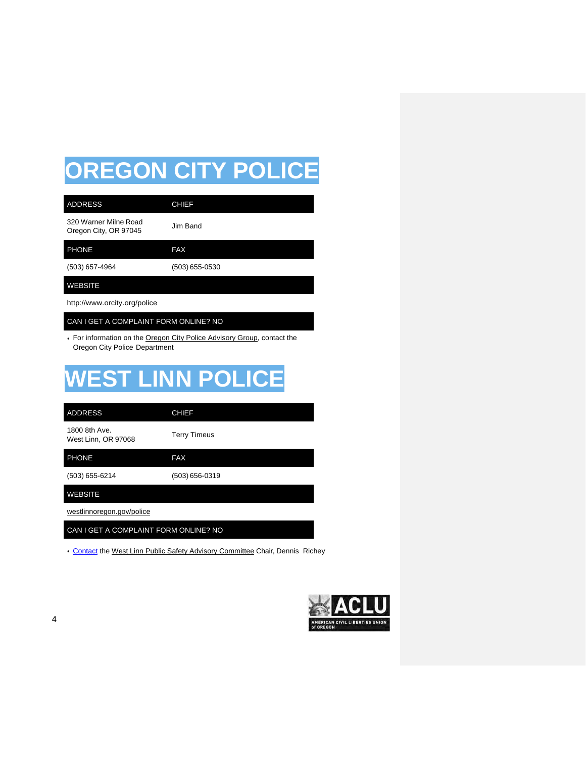## **OREGON CITY POLICE**

| <b>ADDRESS</b>                                 | <b>CHIEF</b>   |
|------------------------------------------------|----------------|
| 320 Warner Milne Road<br>Oregon City, OR 97045 | Jim Band       |
| <b>PHONE</b>                                   | <b>FAX</b>     |
| (503) 657-4964                                 | (503) 655-0530 |
| <b>WEBSITE</b>                                 |                |
| http://www.orcity.org/police                   |                |

### CAN I GET A COMPLAINT FORM ONLINE? NO

• For information on the Oregon City Police Advisory Group, contact the Oregon City Police Department

## **WEST LINN POLICE**

| <b>ADDRESS</b>                        | <b>CHIEF</b>        |
|---------------------------------------|---------------------|
| 1800 8th Ave.<br>West Linn, OR 97068  | <b>Terry Timeus</b> |
| <b>PHONE</b>                          | <b>FAX</b>          |
| (503) 655-6214                        | (503) 656-0319      |
| <b>WEBSITE</b>                        |                     |
| westlinnoregon.gov/police             |                     |
| CAN I GET A COMPLAINT FORM ONLINE? NO |                     |

• [Contact](mailto:publicsafetyadvisoryboard@westlinnoregon.gov) the West Linn Public Safety Advisory Committee Chair, Dennis Richey

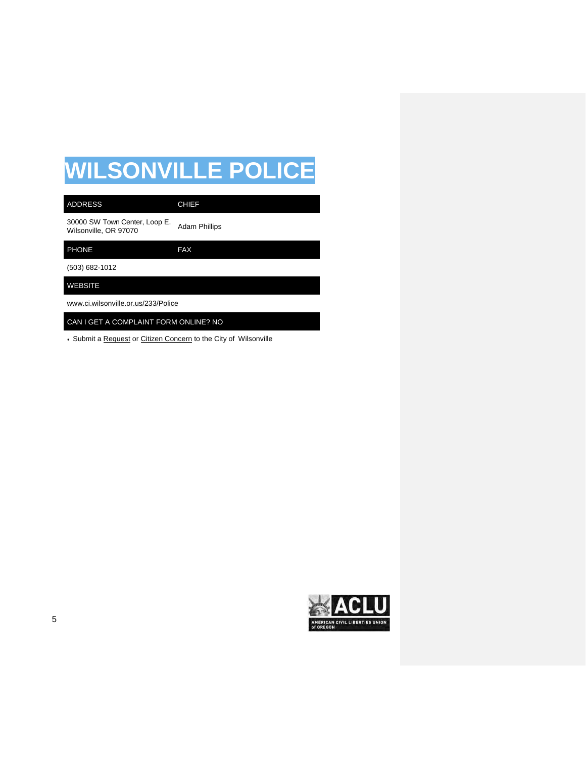## **WILSONVILLE POLICE**

| <b>ADDRESS</b>                                         | <b>CHIEF</b>         |
|--------------------------------------------------------|----------------------|
| 30000 SW Town Center, Loop E.<br>Wilsonville, OR 97070 | <b>Adam Phillips</b> |
| <b>PHONE</b>                                           | <b>FAX</b>           |
| (503) 682-1012                                         |                      |
| <b>WEBSITE</b>                                         |                      |
| www.ci.wilsonville.or.us/233/Police                    |                      |
| CAN I GET A COMPLAINT FORM ONLINE? NO                  |                      |

• Submit a Request or Citizen Concern to the City of Wilsonville

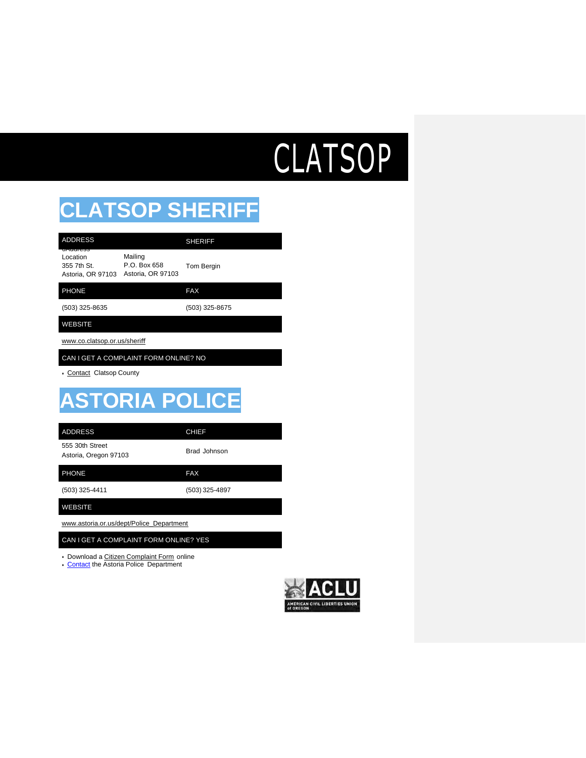# CLATSOP

٠

## **CLATSOP SHERIFF**

| <b>ADDRESS</b>                                           |                                              | <b>SHERIFF</b> |
|----------------------------------------------------------|----------------------------------------------|----------------|
| 0A001655<br>Location<br>355 7th St.<br>Astoria, OR 97103 | Mailing<br>P.O. Box 658<br>Astoria, OR 97103 | Tom Bergin     |
| <b>PHONE</b>                                             |                                              | <b>FAX</b>     |
| (503) 325-8635                                           |                                              | (503) 325-8675 |
| <b>WEBSITE</b>                                           |                                              |                |
| www.co.clatsop.or.us/sheriff                             |                                              |                |
| CAN I GET A COMPLAINT FORM ONLINE? NO                    |                                              |                |

• Contact Clatsop County

## **ASTORIA POLICE**

| <b>ADDRESS</b>                           | <b>CHIEF</b>   |
|------------------------------------------|----------------|
| 555 30th Street<br>Astoria, Oregon 97103 | Brad Johnson   |
| <b>PHONE</b>                             | <b>FAX</b>     |
| (503) 325-4411                           | (503) 325-4897 |
| <b>WEBSITE</b>                           |                |

[www.astoria.or.us/dept/Police\\_Department](http://www.astoria.or.us/dept/Police_Department)

#### CAN I GET A COMPLAINT FORM ONLINE? YES

• Download a Citizen Complaint Form online

• [Contact](mailto:bjohnson@astoria.or.us) the Astoria Police Department

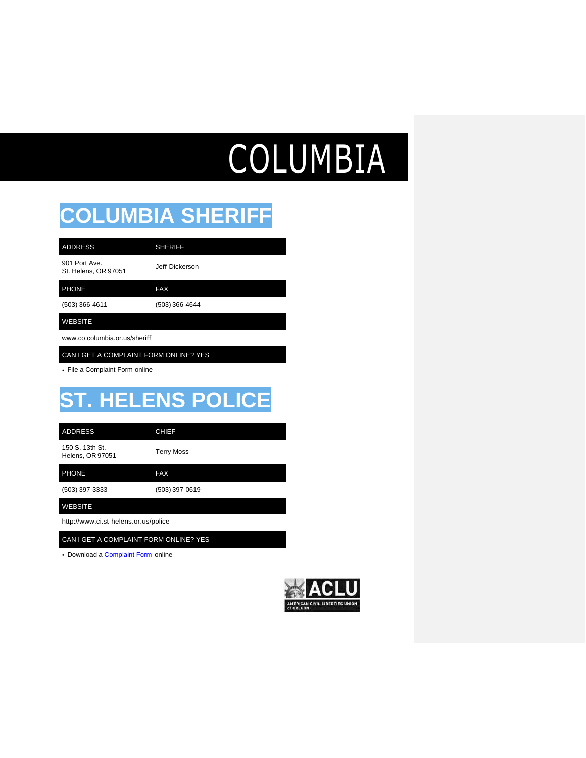# **COLUMBIA**

### **COLUMBIA SHERIFF**

901 Port Ave. St. Helens, OR 97051 Jeff Dickerson ADDRESS SHERIFF

PHONE FAX

(503) 366-4611 (503) 366-4644

### WEBSITE

[www.co.columbia.or.us/sheri](http://www.co.columbia.or.us/sheri%EF%AC%80)ff

CAN I GET A COMPLAINT FORM ONLINE? YES

• File a Complaint Form online

## **ST. HELENS POLICE**

ADDRESS CHIEF

150 S. 13th St. 150 S. 13th St.<br>Helens, OR 97051 Terry Moss

PHONE FAX

(503) 397-3333 (503) 397-0619

WEBSITE

<http://www.ci.st-helens.or.us/police>

CAN I GET A COMPLAINT FORM ONLINE? YES

• Download a [Complaint Form](https://www.ci.st-helens.or.us/sites/default/files/fileattachments/police/page/4041/personnel_critique_form.pdf) online

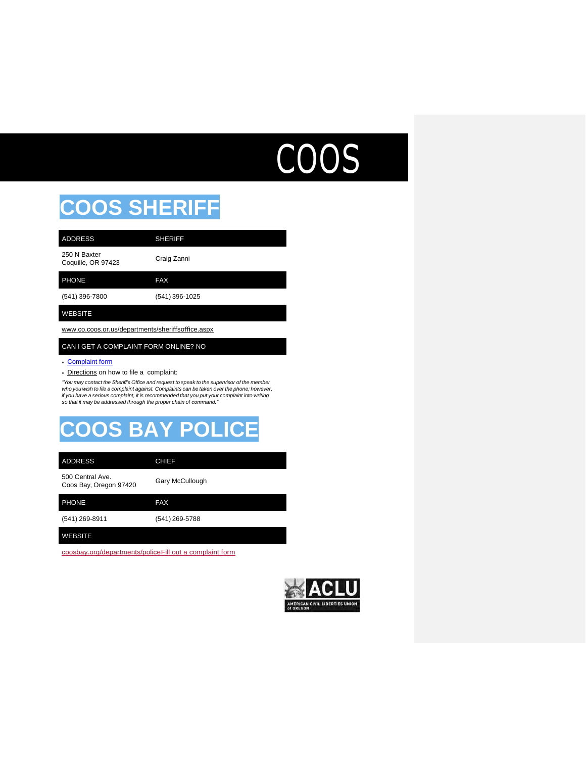## COOS

## **COOS SHERIFF**

| <b>ADDRESS</b>                     | <b>SHERIFF</b> |
|------------------------------------|----------------|
| 250 N Baxter<br>Coquille, OR 97423 | Craig Zanni    |
| <b>PHONE</b>                       | <b>FAX</b>     |
| (541) 396-7800                     | (541) 396-1025 |
| <b>WEBSITE</b>                     |                |

[www.co.coos.or.us/departments/sheri](http://www.co.coos.or.us/departments/sheri%EF%AC%80so%EF%AC%83ce.aspx)ffsoffice.aspx

#### CAN I GET A COMPLAINT FORM ONLINE? NO

#### • [Complaint form](http://www.co.coos.or.us/Portals/0/Sheriff/Forms/codecomplaintform.pdf)

• Directions on how to file a complaint:

*"You may contact the Sheriff's Office and request to speak to the supervisor of the member who you wish to file a complaint against. Complaints can be taken over the phone; however,*  if you have a serious complaint, it is recommended that you put your complaint into writing<br>so that it may be addressed through the proper chain of command."

## **COOS BAY POLICE**

| <b>ADDRESS</b>                             | <b>CHIEF</b>    |
|--------------------------------------------|-----------------|
| 500 Central Ave.<br>Coos Bay, Oregon 97420 | Gary McCullough |
| <b>PHONE</b>                               | <b>FAX</b>      |
| (541) 269-8911                             | (541) 269-5788  |
| <b>WEBSITE</b>                             |                 |

[coosbay.org/departments/policeFill out a complaint form](http://coosbay.org/uploads/forms/citizen_concern_form.pdf)

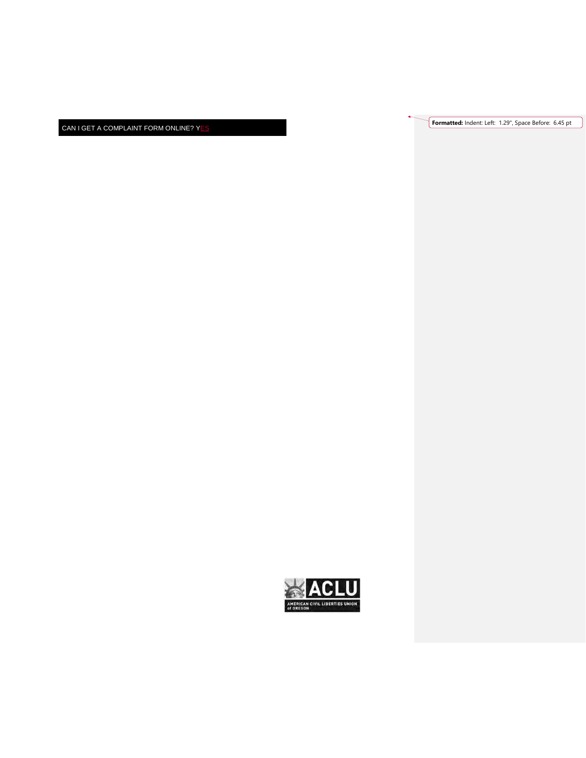CAN I GET A COMPLAINT FORM ONLINE? YES

**Formatted:** Indent: Left: 1.29", Space Before: 6.45 pt

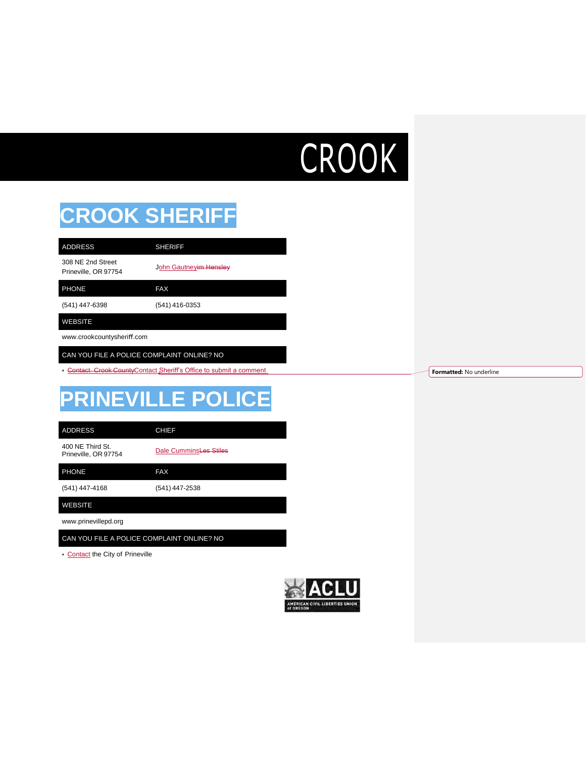# **CROOK**

## **CROOK SHERIFF**

308 NE 2nd Street Sub IVE 21id Street<br>Prineville, OR 97754 John Gautneyim Hensley

PHONE FAX

(541) 447-6398 (541) 416-0353

ADDRESS SHERIFF

### WEBSITE

[www.crookcountysheri](http://www.crookcountysheriff.com/)ff.com

CAN YOU FILE A POLICE COMPLAINT ONLINE? NO

• [Contact Crook](http://sheriff.co.crook.or.us/Contact/tabid/1226/Default.aspx) CountyContact Sheriff's Office to submit a comment

## **PRINEVILLE POLICE**

ADDRESS CHIEF

400 NE Third St.<br>Prineville, OR 97754

Dale CumminsLes Stiles

PHONE FAX

(541) 447-4168 (541) 447-2538

WEBSITE

[www.prinevillepd.org](http://www.prinevillepd.org/)

CAN YOU FILE A POLICE COMPLAINT ONLINE? NO

• [Contact](http://www.cityofprineville.com/community/webform/contact-us) the City of Prineville



**Formatted:** No underline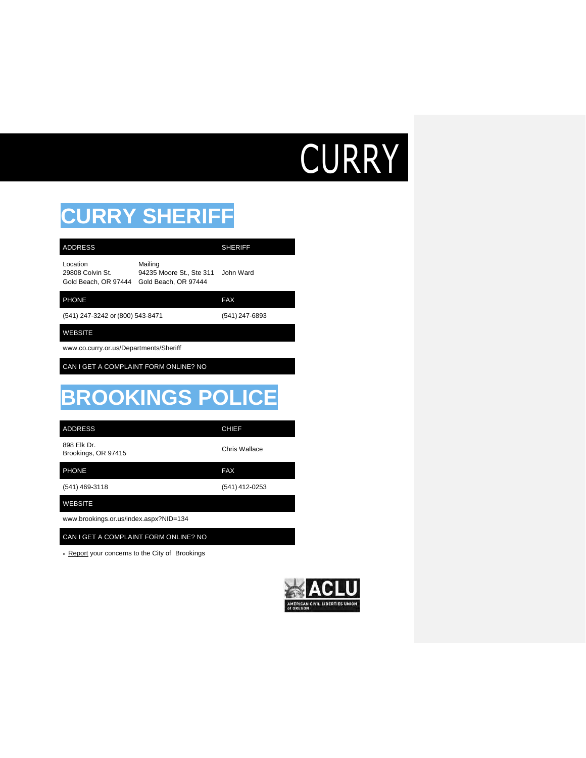# **CURRY**

## **CURRY SHERIFF**

| <b>ADDRESS</b>                                       |                                                             | <b>SHERIFF</b> |
|------------------------------------------------------|-------------------------------------------------------------|----------------|
| Location<br>29808 Colvin St.<br>Gold Beach, OR 97444 | Mailing<br>94235 Moore St., Ste 311<br>Gold Beach, OR 97444 | John Ward      |
| <b>PHONE</b>                                         |                                                             | <b>FAX</b>     |
| (541) 247-3242 or (800) 543-8471                     |                                                             | (541) 247-6893 |
| <b>WEBSITE</b>                                       |                                                             |                |
| www.co.curry.or.us/Departments/Sheriff               |                                                             |                |
| CAN I GET A COMPLAINT FORM ONLINE? NO                |                                                             |                |
|                                                      |                                                             |                |
|                                                      | <b>BROOKINGS POLICE</b>                                     |                |
| <b>ADDRESS</b>                                       |                                                             | <b>CHIEF</b>   |
| 898 Elk Dr.<br>Brookings, OR 97415                   |                                                             | Chris Wallace  |
| <b>PHONE</b>                                         |                                                             | <b>FAX</b>     |
| (541) 469-3118                                       |                                                             | (541) 412-0253 |
| <b>WEBSITE</b>                                       |                                                             |                |
| www.brookings.or.us/index.aspx?NID=134               |                                                             |                |
| CAN I GET A COMPLAINT FORM ONLINE? NO                |                                                             |                |
| • Report your concerns to the City of Brookings      |                                                             |                |

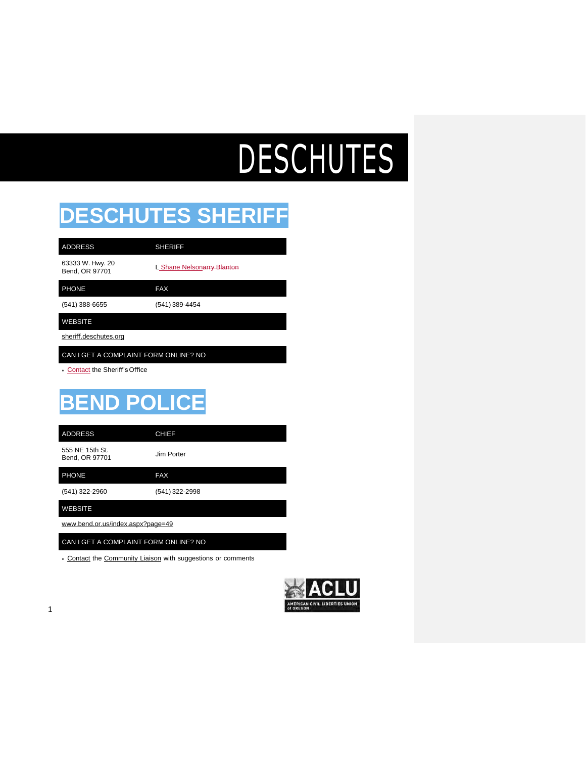# DESCHUTES

## **DESCHUTES SHERIFF**

| <b>ADDRESS</b>                     | <b>SHERIFF</b>             |
|------------------------------------|----------------------------|
| 63333 W. Hwy. 20<br>Bend, OR 97701 | L Shane Nelsonarry Blanton |
| <b>PHONE</b>                       | <b>FAX</b>                 |
| (541) 388-6655                     | (541) 389-4454             |

### WEBSITE

sheriff.deschutes.org

CAN I GET A COMPLAINT FORM ONLINE? NO

• [Contact](https://sheriff.deschutes.org/contact-sheriff/email-us/) the Sheriff'sOffice

## **BEND POLICE**

| <b>ADDRESS</b>                    | <b>CHIEF</b>   |
|-----------------------------------|----------------|
| 555 NE 15th St.<br>Bend, OR 97701 | Jim Porter     |
| <b>PHONE</b>                      | <b>FAX</b>     |
| (541) 322-2960                    | (541) 322-2998 |
| WEBSITE                           |                |

[www.bend.or.us/index.aspx?page=49](http://www.bend.or.us/index.aspx?page=49)

CAN I GET A COMPLAINT FORM ONLINE? NO

• Contact the Community Liaison with suggestions or comments

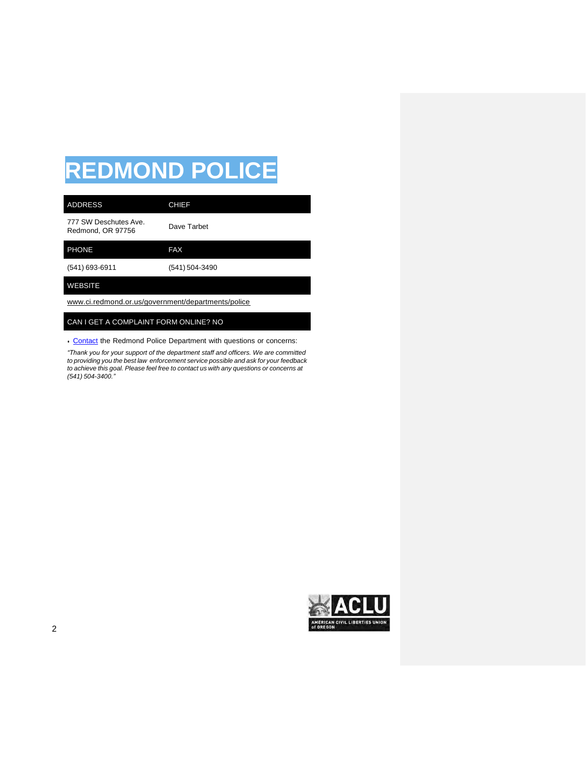## **REDMOND POLICE**

| <b>ADDRESS</b>                                     | <b>CHIEF</b>   |
|----------------------------------------------------|----------------|
| 777 SW Deschutes Ave.<br>Redmond, OR 97756         | Dave Tarbet    |
| <b>PHONE</b>                                       | <b>FAX</b>     |
| $(541)$ 693-6911                                   | (541) 504-3490 |
| <b>WEBSITE</b>                                     |                |
| www.ci.redmond.or.us/government/departments/police |                |

### CAN I GET A COMPLAINT FORM ONLINE? NO

• [Contact](http://www.ci.redmond.or.us/government/departments/police/contact-us) the Redmond Police Department with questions or concerns:

*"Thank you for your support of the department staff and officers. We are committed to providing you the best law enforcement service possible and ask for your feedback to achieve this goal. Please feel free to contact us with any questions or concerns at (541) 504-3400."*

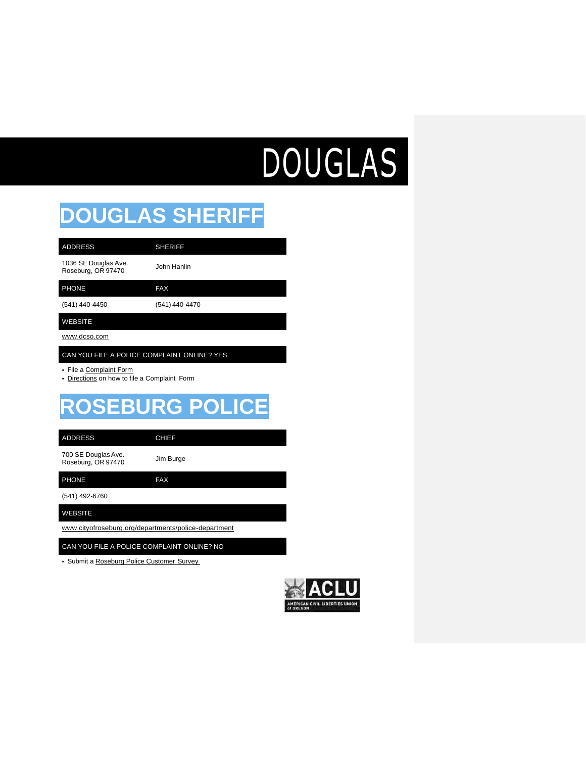# DOUGLAS

### **DOUGLAS SHERIFF**

1036 SE Douglas Ave. TU36 SE Douglas Ave.<br>Roseburg, OR 97470 John Hanlin

PHONE FAX

(541) 440-4450 (541) 440-4470

WEBSITE

[www.dcso.com](http://www.dcso.com/)

CAN YOU FILE A POLICE COMPLAINT ONLINE? YES

- File a Complaint Form
- Directions on how to file a Complaint Form

ADDRESS SHERIFF

## **ROSEBURG POLICE**

ADDRESS CHIEF

700 SE Douglas Ave. The Section of the Section of the Section of the Section of the Section of the Section of the Section of the S<br>  $\frac{1}{2}$  Jim Burge Roseburg, OR 97470

PHONE FAX

(541) 492-6760

WEBSITE

[www.cityofroseburg.org/departments/police-department](http://www.cityofroseburg.org/departments/police-department)

CAN YOU FILE A POLICE COMPLAINT ONLINE? NO

• Submit a Roseburg Police Customer Survey

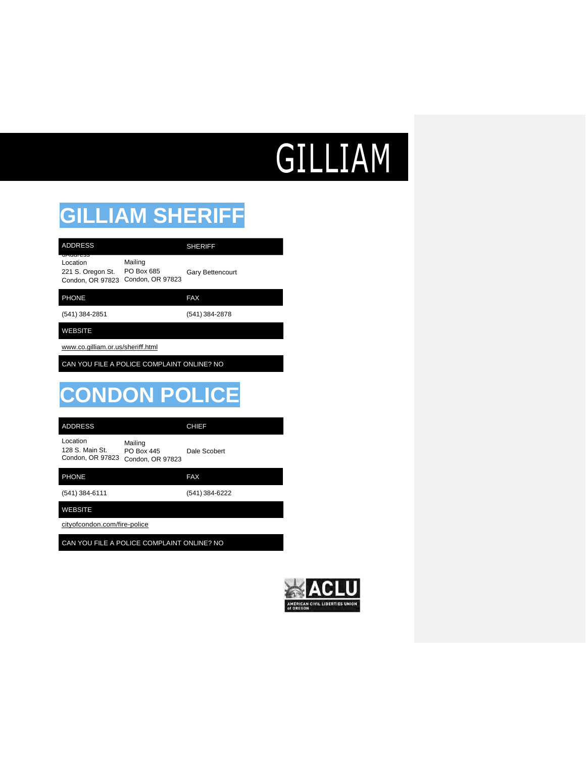## GILLIAM

## **GILLIAM SHERIFF**

| <b>ADDRESS</b>                                                |                                           | <b>SHERIFF</b>          |
|---------------------------------------------------------------|-------------------------------------------|-------------------------|
| unuurtoo<br>Location<br>221 S. Oregon St.<br>Condon, OR 97823 | Mailing<br>PO Box 685<br>Condon, OR 97823 | <b>Gary Bettencourt</b> |
| <b>PHONE</b>                                                  |                                           | <b>FAX</b>              |
| (541) 384-2851                                                |                                           | (541) 384-2878          |

WEBSITE

[www.co.gilliam.or.us/sheri](http://www.co.gilliam.or.us/sheri%EF%AC%80.html)ff.html

CAN YOU FILE A POLICE COMPLAINT ONLINE? NO

## **CONDON POLICE**

Location 128 S. Main St. Condon, OR 97823 Condon, OR 97823 Mailing PO Box 445 Dale Scobert

| <b>PHONE</b>                 | <b>FAX</b>     |
|------------------------------|----------------|
| (541) 384-6111               | (541) 384-6222 |
| <b>WEBSITE</b>               |                |
| cityofcondon.com/fire-police |                |

CAN YOU FILE A POLICE COMPLAINT ONLINE? NO

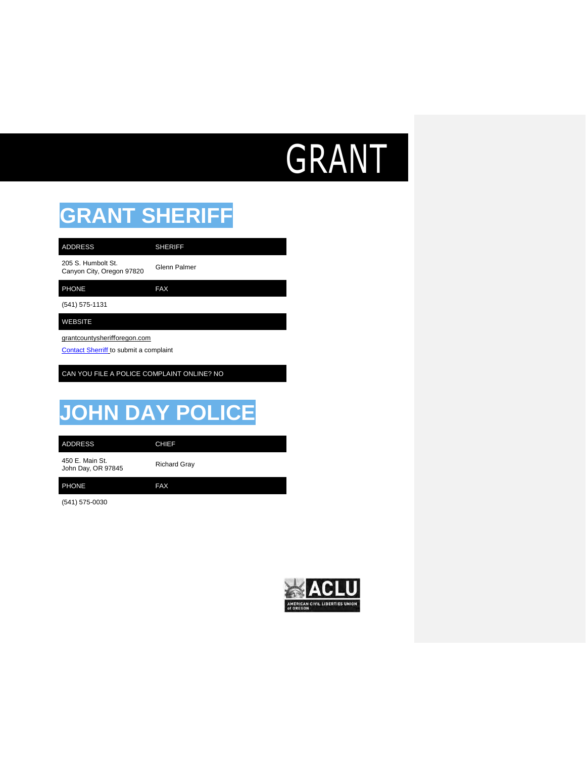## GRANT

### **GRANT SHERIFF**

205 S. Humbolt St. 205 S. Humbolt St.<br>Canyon City, Oregon 97820 Glenn Palmer ADDRESS SHERIFF

PHONE FAX

(541) 575-1131

WEBSITE

grantcountysherifforegon.com

[Contact Sherriff](http://grantcountysherifforegon.com/office/contact) to submit a complaint

CAN YOU FILE A POLICE COMPLAINT ONLINE? NO

## **JOHN DAY POLICE**

ADDRESS CHIEF

450 E. Main St. 450 E. Main St.<br>John Day, OR 97845 Richard Gray

PHONE FAX

(541) 575-0030

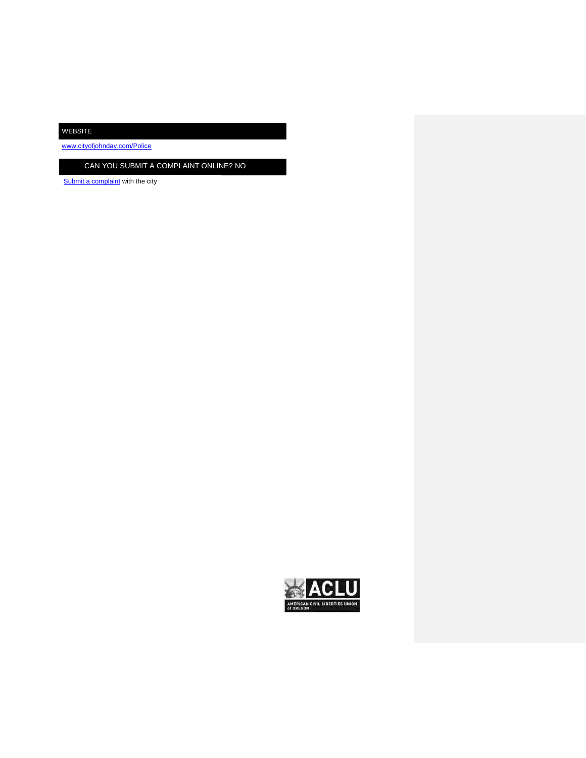WEBSITE

[www.cityofjohnday.com/Police](http://www.cityofjohnday.com/Police)

CAN YOU SUBMIT A COMPLAINT ONLINE? NO

[Submit a complaint](http://www.cityofjohnday.com/contact) with the city

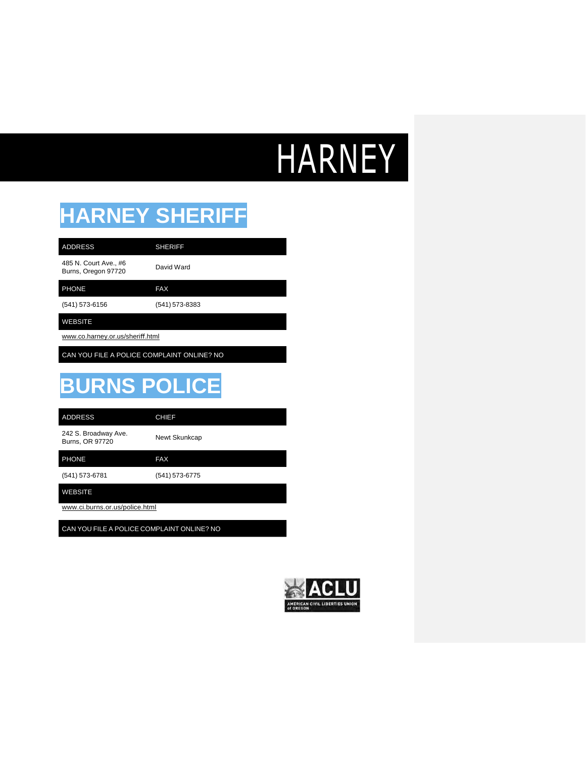# HARNEY

## **HARNEY SHERIFF**

485 N. Court Ave., #6 485 N. Court Ave., #6<br>Burns, Oregon 97720 David Ward

PHONE FAX

(541) 573-6156 (541) 573-8383

ADDRESS SHERIFF

### WEBSITE

[www.co.harney.or.us/sheri](http://www.co.harney.or.us/sheri%EF%AC%80.html)ff.html

CAN YOU FILE A POLICE COMPLAINT ONLINE? NO

### **BURNS POLICE**

ADDRESS CHIEF

242 S. Broadway Ave. 242 S. Broadway Ave.<br>Burns, OR 97720 Newt Skunkcap

PHONE FAX

(541) 573-6781 (541) 573-6775

WEBSITE

[www.ci.burns.or.us/police.html](http://www.ci.burns.or.us/police.html)

CAN YOU FILE A POLICE COMPLAINT ONLINE? NO

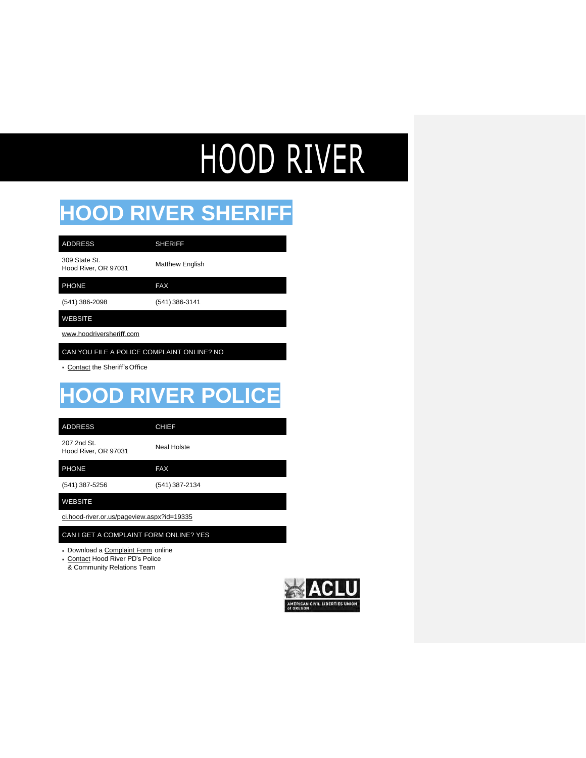# HOOD RIVER

### **HOOD RIVER SHERIFF**

| <b>ADDRESS</b>                        | <b>SHERIFF</b>         |
|---------------------------------------|------------------------|
| 309 State St.<br>Hood River, OR 97031 | <b>Matthew English</b> |
| <b>PHONE</b>                          | <b>FAX</b>             |
| (541) 386-2098                        | (541) 386-3141         |
|                                       |                        |

[www.hoodriversheri](http://www.hoodriversheriff.com/)ff.com

CAN YOU FILE A POLICE COMPLAINT ONLINE? NO

• Contact the Sheriff'sOffice

## **HOOD RIVER POLICE**

ADDRESS CHIEF

207 2nd St. zur zna St.<br>Hood River, OR 97031 Neal Holste

(541) 387-5256 (541) 387-2134

WEBSITE

ci.hood-river.or.us/pageview.aspx?id=19335

CAN I GET A COMPLAINT FORM ONLINE? YES

• Download a Complaint Form online

PHONE FAX

• Contact Hood River PD's Police

& Community Relations Team

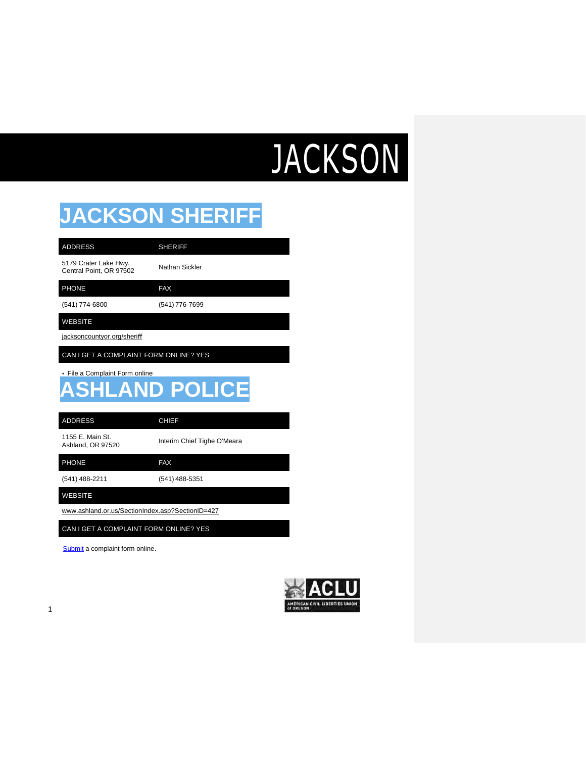# **JACKSON**

### **JACKSON SHERIFF**

| <b>ADDRESS</b>                                   | SHERIFF   |
|--------------------------------------------------|-----------|
| 5179 Crater Lake Hwy.<br>Central Point, OR 97502 | Nathan Si |

than Sickler

PHONE FAX

(541) 774-6800 (541) 776-7699

WEBSITE

jacksoncountyor.org/sheriff

CAN I GET A COMPLAINT FORM ONLINE? YES

• File a Complaint Form online

### **HLAND POLICE**

ADDRESS CHIEF

1155 E. Main St.

Interim Chief Tighe O'Meara

PHONE FAX

(541) 488-2211 (541) 488-5351

WEBSITE

[www.ashland.or.us/SectionIndex.asp?SectionID=427](http://www.ashland.or.us/SectionIndex.asp?SectionID=427)

CAN I GET A COMPLAINT FORM ONLINE? YES

[Submit](http://www.ashland.or.us/FormPageBS.asp?FormID=191) a complaint form online.

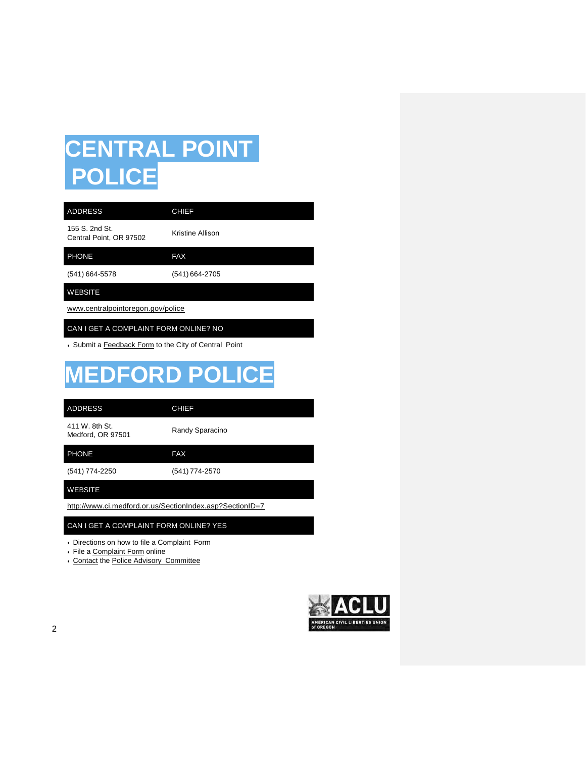## **CENTRAL POINT POLICE**

| <b>ADDRESS</b>                                        | <b>CHIEF</b>     |  |
|-------------------------------------------------------|------------------|--|
| 155 S. 2nd St.<br>Central Point, OR 97502             | Kristine Allison |  |
| <b>PHONE</b>                                          | <b>FAX</b>       |  |
| (541) 664-5578                                        | (541) 664-2705   |  |
| <b>WEBSITE</b>                                        |                  |  |
| www.centralpointoregon.gov/police                     |                  |  |
| CAN I GET A COMPLAINT FORM ONLINE? NO                 |                  |  |
| • Submit a Feedback Form to the City of Central Point |                  |  |

## **MEDFORD POLICE**

| <b>ADDRESS</b>                                           | <b>CHIEF</b>    |
|----------------------------------------------------------|-----------------|
| 411 W. 8th St.<br>Medford, OR 97501                      | Randy Sparacino |
| <b>PHONE</b>                                             | <b>FAX</b>      |
| (541) 774-2250                                           | (541) 774-2570  |
| <b>WEBSITE</b>                                           |                 |
| http://www.ci.medford.or.us/SectionIndex.asp?SectionID=7 |                 |

#### CAN I GET A COMPLAINT FORM ONLINE? YES

• Directions on how to file a Complaint Form

- File a Complaint Form online
- Contact the Police Advisory Committee

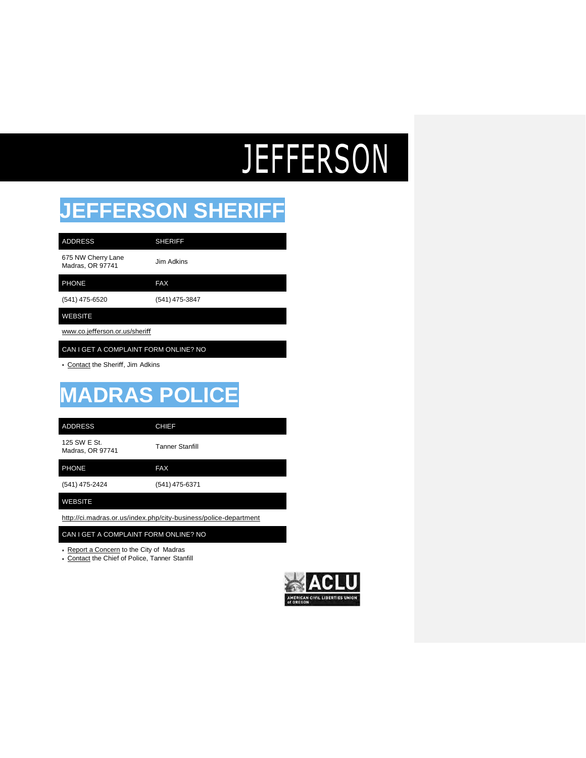# **JEFFERSON**

### **JEFFERSON SHERIFF**

| <b>ADDRESS</b>                         | <b>SHERIFF</b> |
|----------------------------------------|----------------|
| 675 NW Cherry Lane<br>Madras, OR 97741 | Jim Adkins     |
| <b>PHONE</b>                           | <b>FAX</b>     |
| (541) 475-6520                         | (541) 475-3847 |
| <b>WEBSITE</b>                         |                |
| www.co.jefferson.or.us/sheriff         |                |

### CAN I GET A COMPLAINT FORM ONLINE? NO

• Contact the Sheriff, Jim Adkins

## **MADRAS POLIC**

ADDRESS CHIEF

125 SW E St. Madras, OR <sup>97741</sup> Tanner Stanfill

(541) 475-2424 (541) 475-6371 PHONE FAX

WEBSITE

<http://ci.madras.or.us/index.php/city-business/police-department>

#### CAN I GET A COMPLAINT FORM ONLINE? NO

• Report a Concern to the City of Madras

• Contact the Chief of Police, Tanner Stanfill

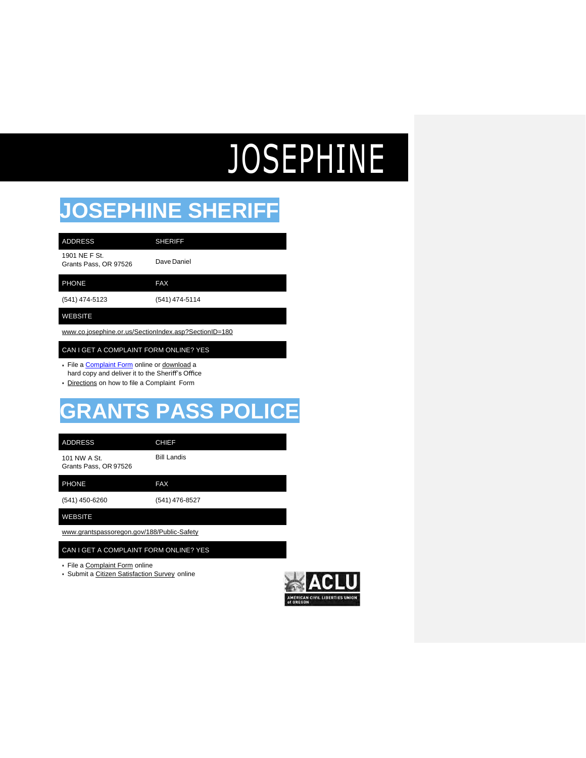# JOSEPHINE

### **JOSEPHINE SHERIFF**

| <b>ADDRESS</b>                         | <b>SHERIFF</b> |
|----------------------------------------|----------------|
| 1901 NE F St.<br>Grants Pass, OR 97526 | Dave Daniel    |
| <b>PHONE</b>                           | <b>FAX</b>     |
| (541) 474-5123                         | (541) 474-5114 |

#### WEBSITE

[www.co.josephine.or.us/SectionIndex.asp?SectionID=180](http://www.co.josephine.or.us/SectionIndex.asp?SectionID=180)

#### CAN I GET A COMPLAINT FORM ONLINE? YES

- File a [Complaint Form](http://report.citizenserviceportal.com/Report.aspx?agency=jcso1) online or download a hard copy and deliver it to the Sheriff's Office
- Directions on how to file a Complaint Form

### **GRANTS PASS POLICE**

101 NW A St. Bill Landis ADDRESS CHIEF

Grants Pass, OR 97526

PHONE FAX

(541) 450-6260 (541) 476-8527

WEBSITE

[www.grantspassoregon.gov/188/Public-Safety](http://www.grantspassoregon.gov/188/Public-Safety)

#### CAN I GET A COMPLAINT FORM ONLINE? YES

• File a Complaint Form online

• Submit a Citizen Satisfaction Survey online

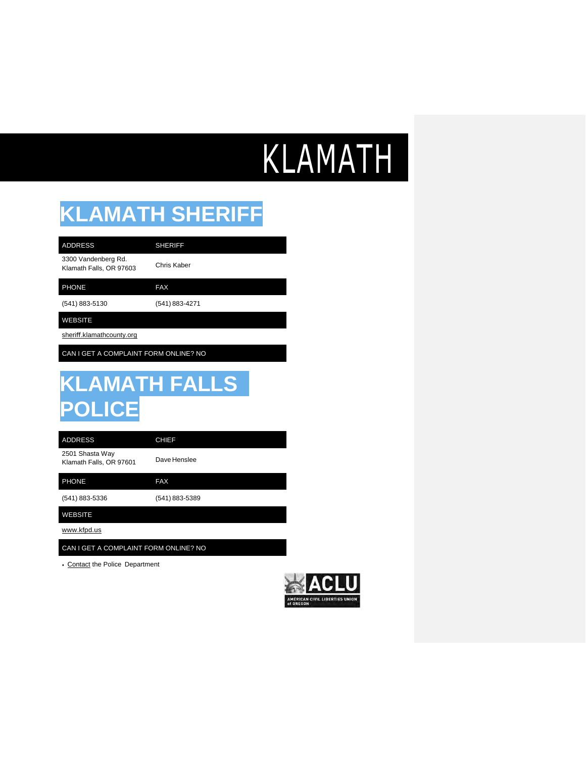# KLAMATH

## **KLAMATH SHERIFF**

3300 Vandenberg Rd. Klamath Falls, OR 97603 Chris Kaber ADDRESS SHERIFF

PHONE FAX

(541) 883-5130 (541) 883-4271

WEBSITE

sheriff.klamathcounty.org

CAN I GET A COMPLAINT FORM ONLINE? NO

## **KLAMATH FALLS POLICE**

ADDRESS CHIEF

2501 Shasta Way Klamath Falls, OR 97601 Dave Henslee

PHONE FAX

(541) 883-5336 (541) 883-5389

WEBSITE

[www.kfpd.us](http://www.kfpd.us/)

CAN I GET A COMPLAINT FORM ONLINE? NO

• Contact the Police Department

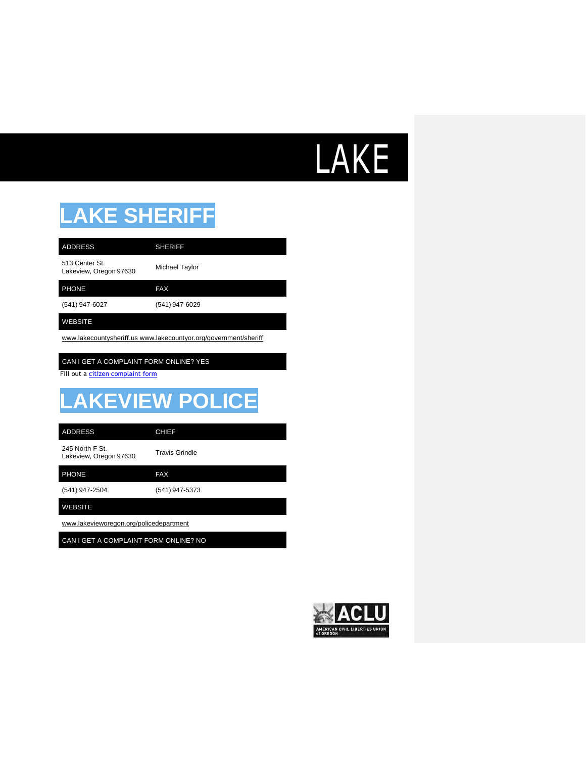# LAKE

## **LAKE SHERIFF**

| <b>ADDRESS</b>                           | <b>SHERIFF</b> |
|------------------------------------------|----------------|
| 513 Center St.<br>Lakeview, Oregon 97630 | Michael Taylor |
| <b>PHONE</b>                             | FAX            |
| (541) 947-6027                           | (541) 947-6029 |
| WEBSITE                                  |                |

www.lakecountysheriff[.us www.lakecountyor.org/government/sheri](http://www.lakecountysheriff.uswww.lakecountyor.org/government/sheri%EF%AC%80)ff

#### CAN I GET A COMPLAINT FORM ONLINE? YES

Fill out a citizen [complaint form](http://www.lakecountyor.org/lakecounty/government/uploads/Updated_LCSO_Citizens_Complaint_Form_Fillable.pdf)

## **LAKEVIEW POLICE**

| ADDRESS         |  |
|-----------------|--|
| 245 North F St. |  |

CHIEF

245 North F St. 245 North F St.<br>Lakeview, Oregon 97630 Travis Grindle

PHONE FAX

(541) 947-2504 (541) 947-5373

#### WEBSITE

[www.lakevieworegon.org/policedepartment](http://www.lakevieworegon.org/policedepartment)

CAN I GET A COMPLAINT FORM ONLINE? NO

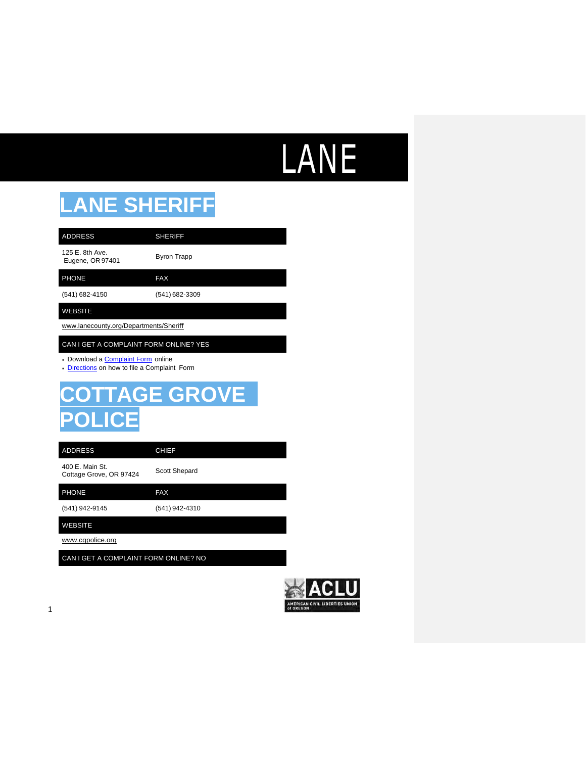# LANE

### **LANE SHERIFF**

| <b>ADDRESS</b>                         | <b>SHERIFF</b>     |  |
|----------------------------------------|--------------------|--|
| 125 E. 8th Ave.<br>Eugene, OR 97401    | <b>Byron Trapp</b> |  |
| <b>PHONE</b>                           | <b>FAX</b>         |  |
| (541) 682-4150                         | (541) 682-3309     |  |
| <b>WEBSITE</b>                         |                    |  |
| www.lanecounty.org/Departments/Sheriff |                    |  |

#### CAN I GET A COMPLAINT FORM ONLINE? YES

- Download a [Complaint Form](https://www.lanecounty.org/UserFiles/Servers/Server_3585797/File/Government/County%20Departments/Sheriff%20Office/Administrative/Appendix%201%20Complaint%20inquiry%20062017.doc) online
- [Directions](https://www.lanecounty.org/cms/One.aspx?portalId=3585881&pageId=4828610) on how to file a Complaint Form

### **COTTAGE GROVE POLIC**

ADDRESS CHIEF

400 E. Main St. 400 E. Main St.<br>Cottage Grove, OR 97424 Scott Shepard

(541) 942-9145 (541) 942-4310 PHONE FAX WEBSITE

[www.cgpolice.org](http://www.cgpolice.org/)

CAN I GET A COMPLAINT FORM ONLINE? NO

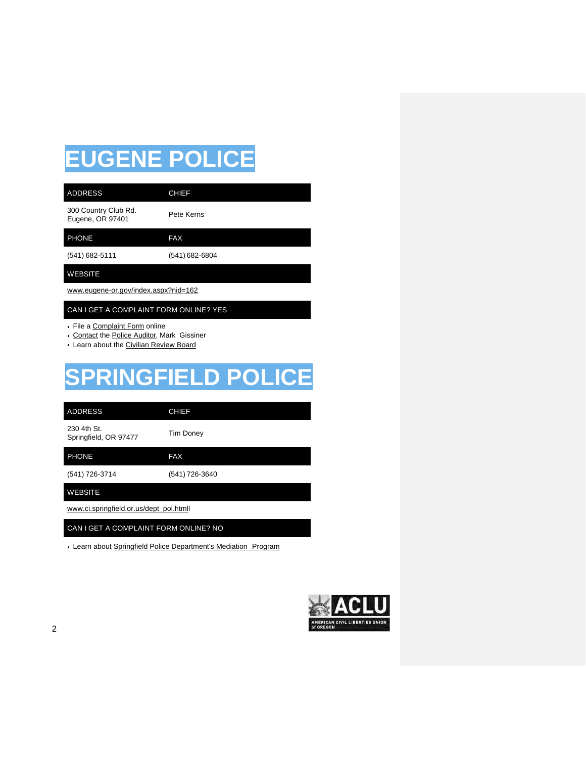## **EUGENE POLICE**

| <b>ADDRESS</b>                           | <b>CHIEF</b>   |  |
|------------------------------------------|----------------|--|
| 300 Country Club Rd.<br>Eugene, OR 97401 | Pete Kerns     |  |
| <b>PHONE</b>                             | <b>FAX</b>     |  |
| (541) 682-5111                           | (541) 682-6804 |  |
| <b>WEBSITE</b>                           |                |  |
| www.eugene-or.gov/index.aspx?nid=162     |                |  |
| CAN I GET A COMPLAINT FORM ONLINE? YES   |                |  |

• File a Complaint Form online

- Contact the Police Auditor, Mark Gissiner
- Learn about the Civilian Review Board

## **SPRINGFIELD POLICE**

| <b>ADDRESS</b>                          | <b>CHIEF</b>     |
|-----------------------------------------|------------------|
| 230 4th St.<br>Springfield, OR 97477    | <b>Tim Doney</b> |
| <b>PHONE</b>                            | <b>FAX</b>       |
| (541) 726-3714                          | (541) 726-3640   |
| <b>WEBSITE</b>                          |                  |
| www.ci.springfield.or.us/dept_pol.htmll |                  |
| CAN I GET A COMPLAINT FORM ONLINE? NO   |                  |

• Learn about Springfield Police Department's Mediation Program

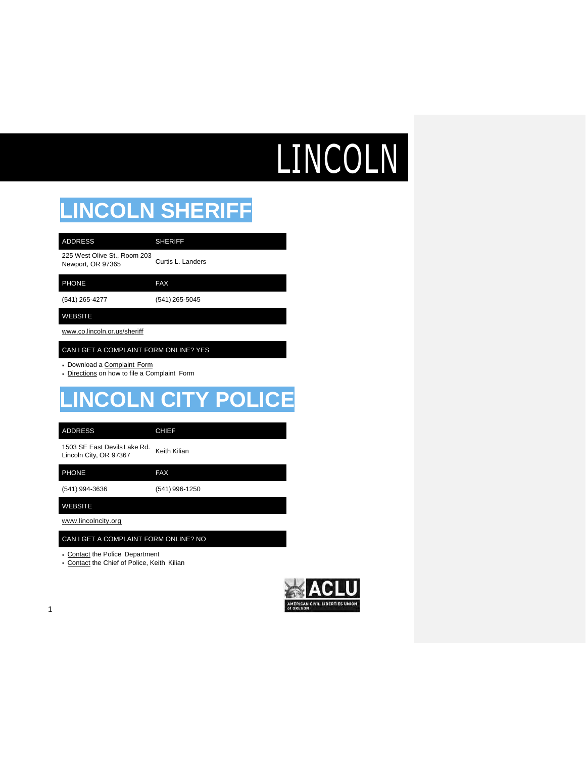# LINCOLN

## **LINCOLN SHERIFF**

| <b>ADDRESS</b>                                    | <b>SHERIFF</b>    |
|---------------------------------------------------|-------------------|
| 225 West Olive St., Room 203<br>Newport, OR 97365 | Curtis L. Landers |
| <b>PHONE</b>                                      | <b>FAX</b>        |
| (541) 265-4277                                    | (541) 265-5045    |
| <b>WEBSITE</b>                                    |                   |
| www.co.lincoln.or.us/sheriff                      |                   |

#### CAN I GET A COMPLAINT FORM ONLINE? YES

- Download a Complaint Form
- Directions on how to file a Complaint Form

### **LINCOLN CITY POLICE**

| <b>ADDRESS</b> |  |  |
|----------------|--|--|
|                |  |  |

#### CHIEF

1503 SE East Devils Lake Rd. 1503 SE East Devils Lake Rd.<br>Lincoln City, OR 97367

PHONE FAX

(541) 994-3636 (541) 996-1250

WEBSITE

[www.lincolncity.org](http://www.lincolncity.org/)

#### CAN I GET A COMPLAINT FORM ONLINE? NO

- Contact the Police Department
- Contact the Chief of Police, Keith Kilian

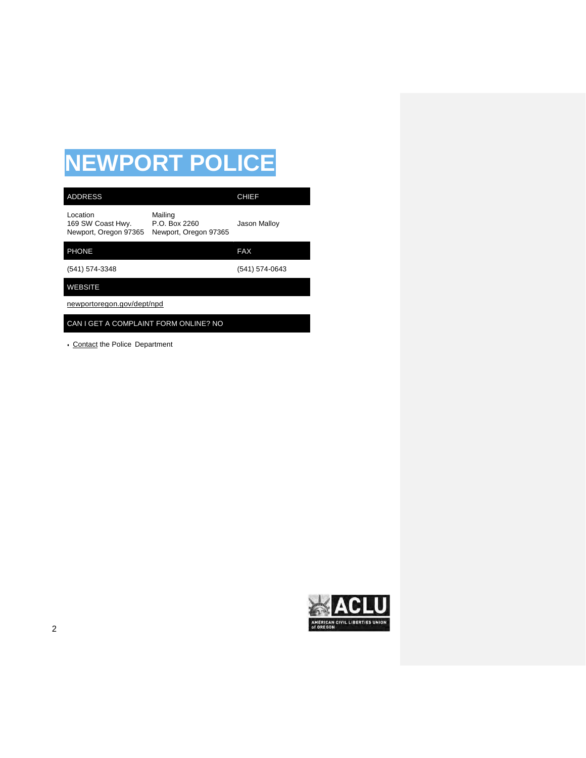## **NEWPORT POLICE**

| <b>ADDRESS</b>                                         |                                                   | <b>CHIEF</b>   |
|--------------------------------------------------------|---------------------------------------------------|----------------|
| Location<br>169 SW Coast Hwy.<br>Newport, Oregon 97365 | Mailing<br>P.O. Box 2260<br>Newport, Oregon 97365 | Jason Malloy   |
| <b>PHONE</b>                                           |                                                   | <b>FAX</b>     |
| (541) 574-3348                                         |                                                   | (541) 574-0643 |
| <b>WEBSITE</b>                                         |                                                   |                |
| newportoregon.gov/dept/npd                             |                                                   |                |
| CAN I GET A COMPLAINT FORM ONLINE? NO                  |                                                   |                |

• Contact the Police Department



ı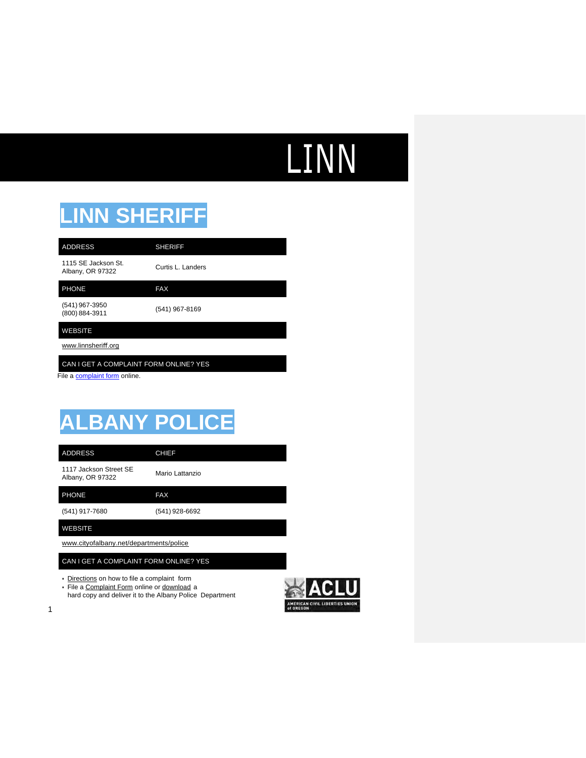## **LINN**

### **LINN SHERIFF**

| <b>ADDRESS</b>                          | <b>SHERIFF</b>    |
|-----------------------------------------|-------------------|
| 1115 SE Jackson St.<br>Albany, OR 97322 | Curtis L. Landers |
| <b>PHONE</b>                            | <b>FAX</b>        |
| (541) 967-3950<br>(800) 884-3911        | (541) 967-8169    |

#### WEBSITE

[www.linnsheri](http://www.linnsheriff.org/)ff.org

### CAN I GET A COMPLAINT FORM ONLINE? YES

File a [complaint form](https://www.linnsheriff.org/contact/) online.

### **ALBANY POLICE**

ADDRESS CHIEF

1117 Jackson Street SE 1117 Jackson Street SE<br>Albany, OR 97322 Mario Lattanzio

PHONE FAX

(541) 917-7680 (541) 928-6692

WEBSITE

1

[www.cityofalbany.net/departments/police](http://www.cityofalbany.net/departments/police)

CAN I GET A COMPLAINT FORM ONLINE? YES

• Directions on how to file a complaint form

• File a Complaint Form online or download a

hard copy and deliver it to the Albany Police Department

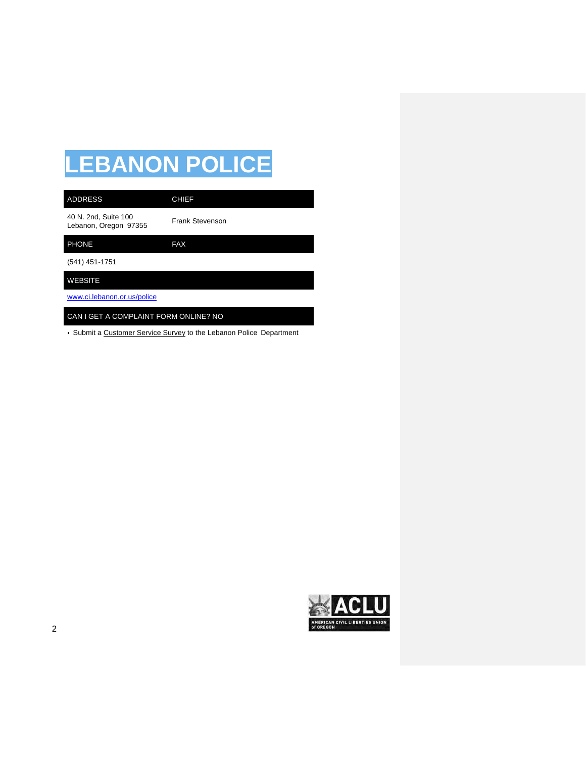## **LEBANON POLICE**

| <b>ADDRESS</b>                                | <b>CHIEF</b>           |
|-----------------------------------------------|------------------------|
| 40 N. 2nd, Suite 100<br>Lebanon, Oregon 97355 | <b>Frank Stevenson</b> |
| <b>PHONE</b>                                  | <b>FAX</b>             |
| (541) 451-1751                                |                        |
| <b>WEBSITE</b>                                |                        |
| www.ci.lebanon.or.us/police                   |                        |
| CAN I GET A COMPLAINT FORM ONLINE? NO         |                        |

• Submit a Customer Service Survey to the Lebanon Police Department

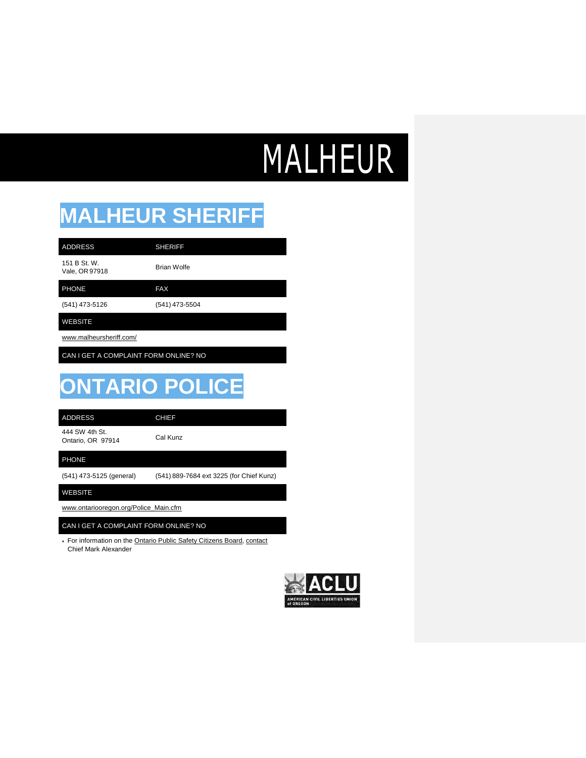## **MALHEUR**

### **MALHEUR SHERIFF**

151 B St. W.

151 B St. W.<br>Vale, OR 97918 Brian Wolfe

PHONE FAX

(541) 473-5126 (541) 473-5504

### WEBSITE

www.malheursheriff.com/

CAN I GET A COMPLAINT FORM ONLINE? NO

ADDRESS SHERIFF

## **ONTARIO POLICE**

ADDRESS CHIEF

444 SW 4th St. Ontario, OR 97914 Cal Kunz

#### PHONE

(541) 473-5125 (general) (541) 889-7684 ext 3225 (for Chief Kunz)

WEBSITE

[www.ontariooregon.org/Police\\_Main.cfm](http://www.ontariooregon.org/Police_Main.cfm)

#### CAN I GET A COMPLAINT FORM ONLINE? NO

• For information on the Ontario Public Safety Citizens Board, contact Chief Mark Alexander

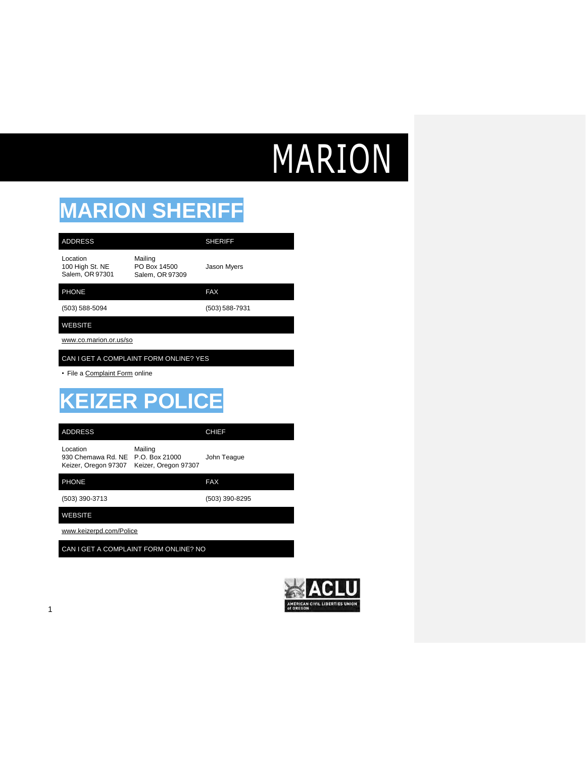# MARION

## **MARION SHERIFF**

| <b>ADDRESS</b>                                         |                                                   | <b>SHERIFF</b>     |  |
|--------------------------------------------------------|---------------------------------------------------|--------------------|--|
| Location<br>100 High St. NE<br>Salem, OR 97301         | Mailing<br>PO Box 14500<br>Salem, OR 97309        | <b>Jason Myers</b> |  |
| <b>PHONE</b>                                           |                                                   | <b>FAX</b>         |  |
| $(503) 588 - 5094$                                     |                                                   | $(503) 588 - 7931$ |  |
| <b>WEBSITE</b>                                         |                                                   |                    |  |
| www.co.marion.or.us/so                                 |                                                   |                    |  |
|                                                        | CAN I GET A COMPLAINT FORM ONLINE? YES            |                    |  |
| • File a Complaint Form online                         |                                                   |                    |  |
| <b>KEIZER POLICE</b>                                   |                                                   |                    |  |
| <b>ADDRESS</b>                                         |                                                   | <b>CHIEF</b>       |  |
| Location<br>930 Chemawa Rd. NE<br>Keizer, Oregon 97307 | Mailing<br>P.O. Box 21000<br>Keizer, Oregon 97307 | John Teague        |  |
| <b>PHONE</b>                                           |                                                   | <b>FAX</b>         |  |
| (503) 390-3713                                         |                                                   | (503) 390-8295     |  |
| <b>WEBSITE</b>                                         |                                                   |                    |  |
| www.keizerpd.com/Police                                |                                                   |                    |  |
| CAN I GET A COMPLAINT FORM ONLINE? NO                  |                                                   |                    |  |

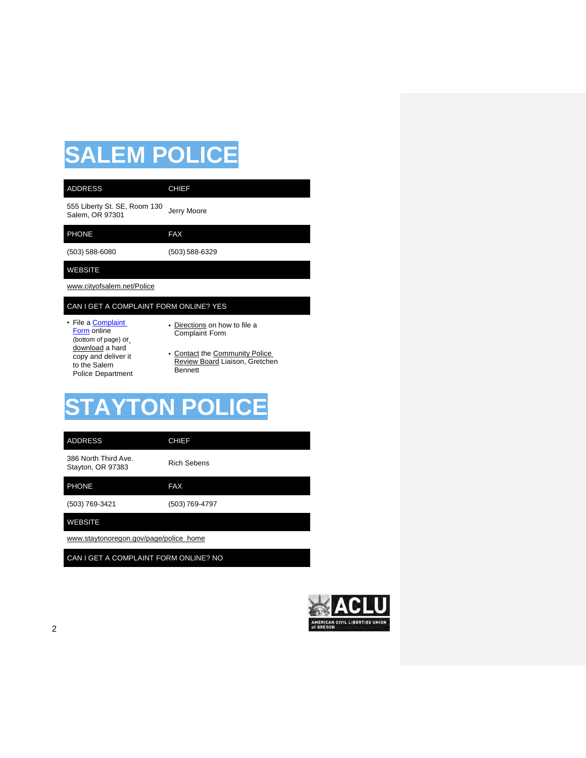## **SALEM POLICE**

### 555 Liberty St. SE, Room 130 Salem, OR 97301<br>Salem, OR 97301

ADDRESS CHIEF

PHONE FAX

(503) 588-6080 (503) 588-6329

#### WEBSITE

www.cityofsalem.net/Police

#### CAN I GET A COMPLAINT FORM ONLINE? YES

- File a **Complaint** [Form](http://www.cityofsalem.net/Pages/file-a-police-complaint.aspx) online (bottom of page) or download a hard copy and deliver it to the Salem Police Department
- Directions on how to file a Complaint Form
- Contact the Community Police Review Board Liaison, Gretchen Bennett

## **STAYTON POLICE**

| <b>ADDRESS</b>                            | <b>CHIEF</b>       |  |
|-------------------------------------------|--------------------|--|
| 386 North Third Ave.<br>Stayton, OR 97383 | <b>Rich Sebens</b> |  |
| <b>PHONE</b>                              | <b>FAX</b>         |  |
| (503) 769-3421                            | (503) 769-4797     |  |
| <b>WEBSITE</b>                            |                    |  |
| www.staytonoregon.gov/page/police home    |                    |  |

CAN I GET A COMPLAINT FORM ONLINE? NO

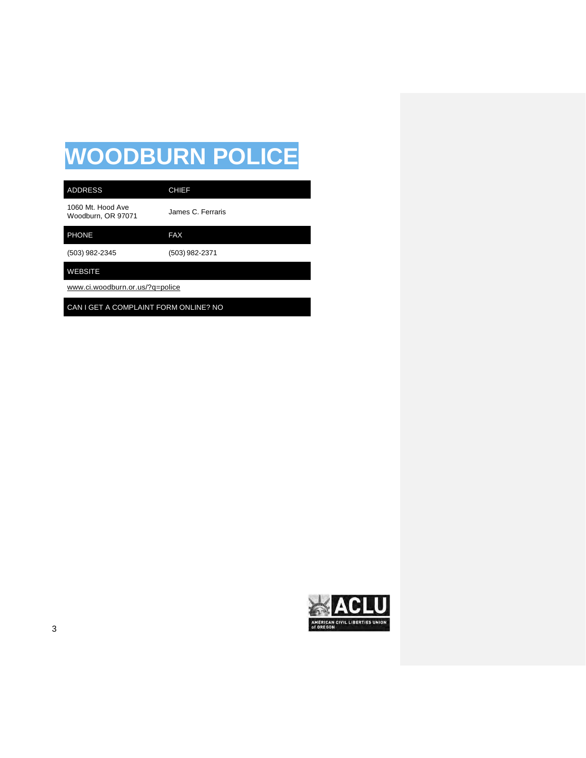## **WOODBURN POLICE**

| <b>ADDRESS</b>                          | <b>CHIEF</b>      |  |
|-----------------------------------------|-------------------|--|
| 1060 Mt. Hood Ave<br>Woodburn, OR 97071 | James C. Ferraris |  |
| <b>PHONE</b>                            | <b>FAX</b>        |  |
| (503) 982-2345                          | (503) 982-2371    |  |
| <b>WEBSITE</b>                          |                   |  |
| www.ci.woodburn.or.us/?q=police         |                   |  |

CAN I GET A COMPLAINT FORM ONLINE? NO

CI AMERICAN CIVIL LIBERTIES UNION<br>of OREGON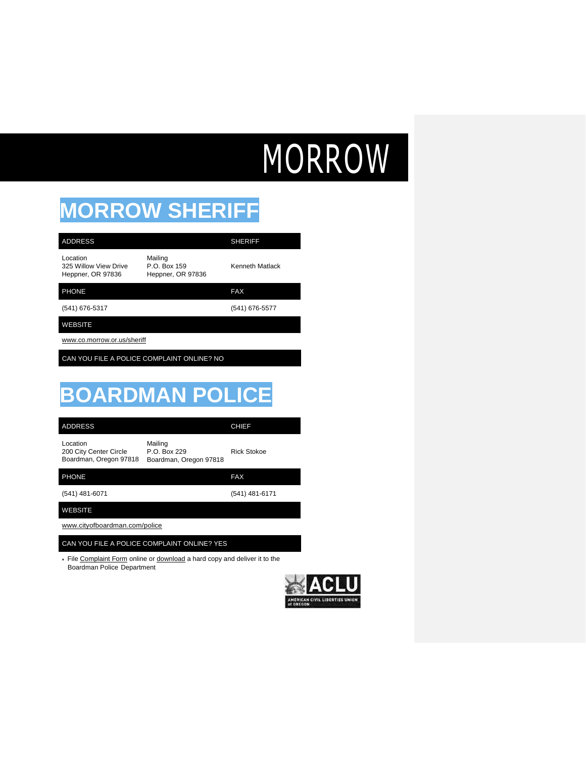# MORROW

## **MORROW SHERIFF**

| <b>ADDRESS</b>                                               |                                                   | <b>SHERIFF</b>     |
|--------------------------------------------------------------|---------------------------------------------------|--------------------|
| Location<br>325 Willow View Drive<br>Heppner, OR 97836       | Mailing<br>P.O. Box 159<br>Heppner, OR 97836      | Kenneth Matlack    |
| <b>PHONE</b>                                                 |                                                   | <b>FAX</b>         |
| (541) 676-5317                                               |                                                   | (541) 676-5577     |
| <b>WEBSITE</b>                                               |                                                   |                    |
| www.co.morrow.or.us/sheriff                                  |                                                   |                    |
| CAN YOU FILE A POLICE COMPLAINT ONLINE? NO                   |                                                   |                    |
|                                                              |                                                   |                    |
| <b>BOARDMAN POLICE</b>                                       |                                                   |                    |
| <b>ADDRESS</b>                                               |                                                   | <b>CHIEF</b>       |
| Location<br>200 City Center Circle<br>Boardman, Oregon 97818 | Mailing<br>P.O. Box 229<br>Boardman, Oregon 97818 | <b>Rick Stokoe</b> |
| <b>PHONE</b>                                                 |                                                   | <b>FAX</b>         |
| (541) 481-6071                                               |                                                   | (541) 481-6171     |
| <b>WEBSITE</b>                                               |                                                   |                    |
| www.cityofboardman.com/police                                |                                                   |                    |

#### CAN YOU FILE A POLICE COMPLAINT ONLINE? YES

• File Complaint Form online or download a hard copy and deliver it to the Boardman Police Department

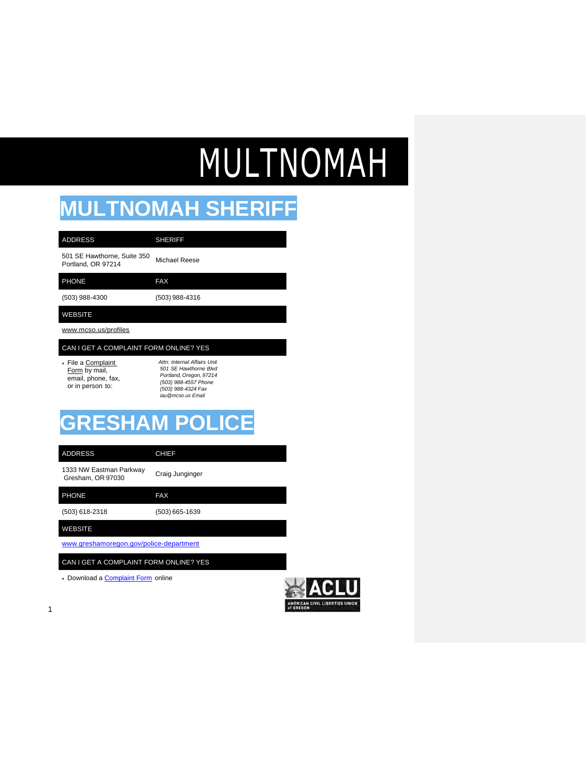# MULTNOMAH

## **MULTNOMAH SHERIFF**

| <b>ADDRESS</b>                                                                | <b>SHERIFF</b>                                                                                                                                       |
|-------------------------------------------------------------------------------|------------------------------------------------------------------------------------------------------------------------------------------------------|
| 501 SE Hawthorne, Suite 350<br>Portland, OR 97214                             | Michael Reese                                                                                                                                        |
| <b>PHONE</b>                                                                  | <b>FAX</b>                                                                                                                                           |
| (503) 988-4300                                                                | (503) 988-4316                                                                                                                                       |
| <b>WEBSITE</b>                                                                |                                                                                                                                                      |
| www.mcso.us/profiles                                                          |                                                                                                                                                      |
| CAN I GET A COMPLAINT FORM ONLINE? YES                                        |                                                                                                                                                      |
| • File a Complaint<br>Form by mail,<br>email, phone, fax,<br>or in person to: | Attn: Internal Affairs I Init<br>501 SE Hawthorne Blvd<br>Portland, Oregon, 97214<br>(503) 988-4557 Phone<br>(503) 988-4324 Fax<br>iau@mcso.us Email |
|                                                                               | <b>GRESHAM POLICE</b>                                                                                                                                |

1333 NW Eastman Parkway 1333 NW Eastman Parkway<br>Gresham, OR 97030 (503) 618-2318 (503) 665-1639 [www.greshamoregon.gov/police-department](http://www.greshamoregon.gov/police-department) PHONE FAX ADDRESS CHIEF WEBSITE CAN I GET A COMPLAINT FORM ONLINE? YES

• Download a **Complaint Form** online

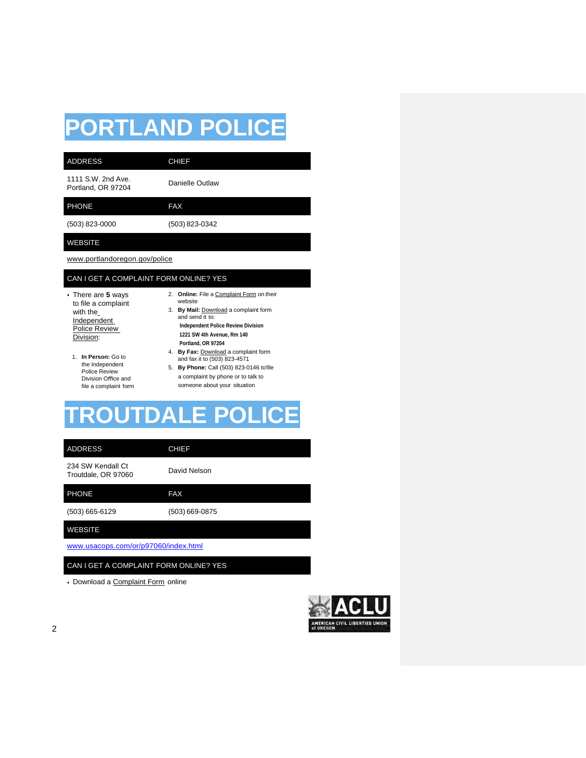## **PORTLAND POLICE**

| <b>ADDRESS</b>                           | <b>CHIEF</b>    |
|------------------------------------------|-----------------|
| 1111 S.W. 2nd Ave.<br>Portland, OR 97204 | Danielle Outlaw |
| <b>PHONE</b>                             | <b>FAX</b>      |
| (503) 823-0000                           | (503) 823-0342  |
| <b>WEBSITE</b>                           |                 |

[www.portlandoregon.gov/police](http://www.portlandoregon.gov/police)

### CAN I GET A COMPLAINT FORM ONLINE? YES

- There are **5** ways to file a complaint with the Independent Police Review Division:
- 2. **Online:** File a Complaint Form on their website 3. **By Mail:** Download a complaint form
- and send it to: **Independent Police Review Division 1221 SW 4th Avenue, Rm 140 Portland, OR 97204** 4. **By Fax:** Download a complaint form
- 1. **In Person:** Go to the Independent Police Review Division Office and file a complaint form
- and fax it to (503) 823-4571 5. **By Phone:** Call (503) 823-0146 tofile a complaint by phone or to talk to someone about your situation

### **TRALE P**

ADDRESS CHIEF

234 SW Kendall Ct 234 SVV Kendall Ct<br>Troutdale, OR 97060 David Nelson

| <b>PHONE</b>     | <b>FAX</b>       |  |
|------------------|------------------|--|
| $(503)$ 665-6129 | $(503)$ 669-0875 |  |
| <b>WEBSITE</b>   |                  |  |

[www.usacops.com/or/p97060/index.html](http://www.usacops.com/or/p97060/index.html)

CAN I GET A COMPLAINT FORM ONLINE? YES

• Download a Complaint Form online

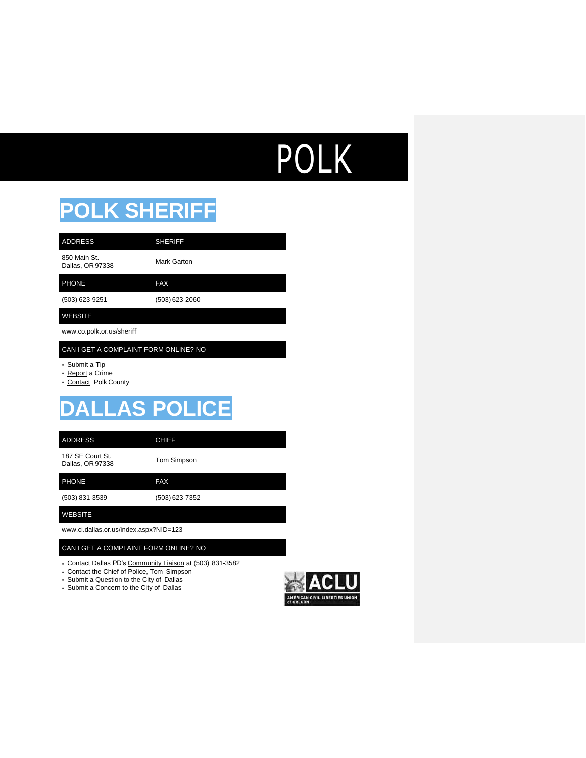# **POLK**

### **POLK SHERIFF**

| <b>ADDRESS</b>                   | <b>SHERIFF</b> |
|----------------------------------|----------------|
| 850 Main St.<br>Dallas, OR 97338 | Mark Garton    |
| <b>PHONE</b>                     | <b>FAX</b>     |
| (503) 623-9251                   | (503) 623-2060 |

### WEBSITE

[www.co.polk.or.us/sheri](http://www.co.polk.or.us/sheri%EF%AC%80)ff

### CAN I GET A COMPLAINT FORM ONLINE? NO

- Submit a Tip
- Report a Crime
- Contact Polk County

## **DALLAS POLICE**

ADDRESS CHIEF

187 SE Court St. 187 SE COUIT St.<br>Dallas, OR 97338 Tom Simpson

PHONE FAX

(503) 831-3539 (503) 623-7352

WEBSITE

[www.ci.dallas.or.us/index.aspx?NID=123](http://www.ci.dallas.or.us/index.aspx?NID=123)

#### CAN I GET A COMPLAINT FORM ONLINE? NO

- Contact Dallas PD's Community Liaison at (503) 831-3582
- Contact the Chief of Police, Tom Simpson
- Submit a Question to the City of Dallas
- Submit a Concern to the City of Dallas

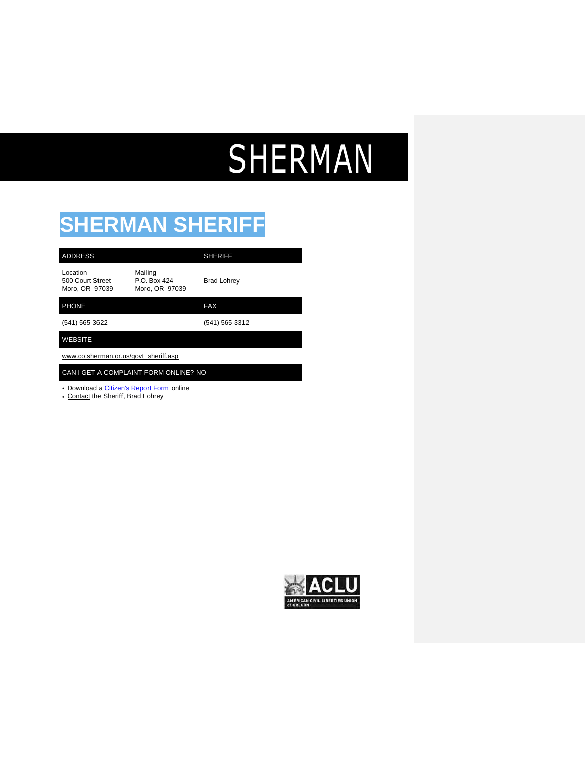## SHERMAN

## **SHERMAN SHERIFF**

| <b>ADDRESS</b>                                 |                                           | <b>SHERIFF</b>     |
|------------------------------------------------|-------------------------------------------|--------------------|
| Location<br>500 Court Street<br>Moro, OR 97039 | Mailing<br>P.O. Box 424<br>Moro, OR 97039 | <b>Brad Lohrey</b> |
| <b>PHONE</b>                                   |                                           | <b>FAX</b>         |
| (541) 565-3622                                 |                                           | (541) 565-3312     |
| <b>WEBSITE</b>                                 |                                           |                    |
| www.co.sherman.or.us/govt_sheriff.asp          |                                           |                    |
| CAN I GET A COMPLAINT FORM ONLINE? NO          |                                           |                    |

• Download a *Citizen's Report Form* online

• Contact the Sheriff, Brad Lohrey

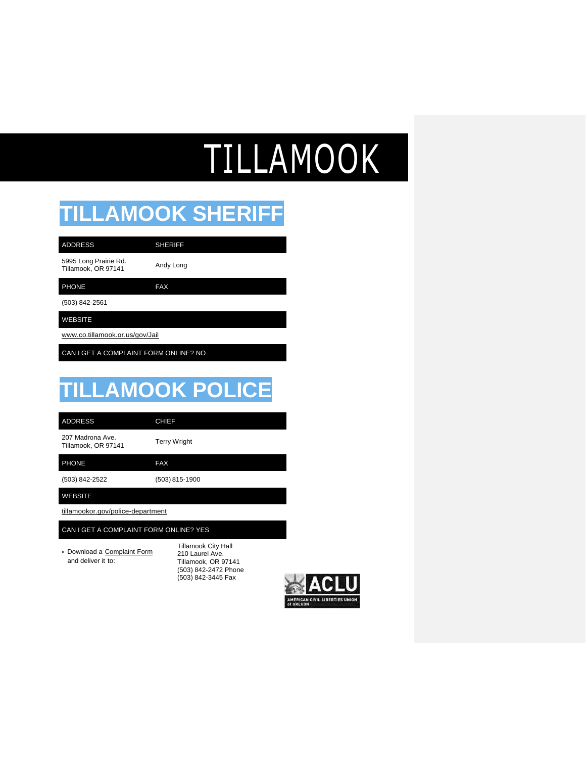# TILLAMOOK

### **TILLAMOOK SHERIFF**

| <b>ADDRESS</b>                               | <b>SHERIFF</b> |
|----------------------------------------------|----------------|
| 5995 Long Prairie Rd.<br>Tillamook, OR 97141 | Andy Long      |
| <b>PHONE</b>                                 | <b>FAX</b>     |
| (503) 842-2561                               |                |
| <b>WEBSITE</b>                               |                |

[www.co.tillamook.or.us/gov/Jail](http://www.co.tillamook.or.us/gov/Jail)

CAN I GET A COMPLAINT FORM ONLINE? NO

### **TILLAMOOK POLICE**

ADDRESS CHIEF

207 Madrona Ave. zur maarona Ave.<br>Tillamook, OR 97141 Terry Wright

PHONE FAX

(503) 842-2522 (503) 815-1900

WEBSITE

tillamookor.gov/police-department

#### CAN I GET A COMPLAINT FORM ONLINE? YES

• Download a Complaint Form and deliver it to:

Tillamook City Hall 210 Laurel Ave. Tillamook, OR 97141 (503) 842-2472 Phone (503) 842-3445 Fax

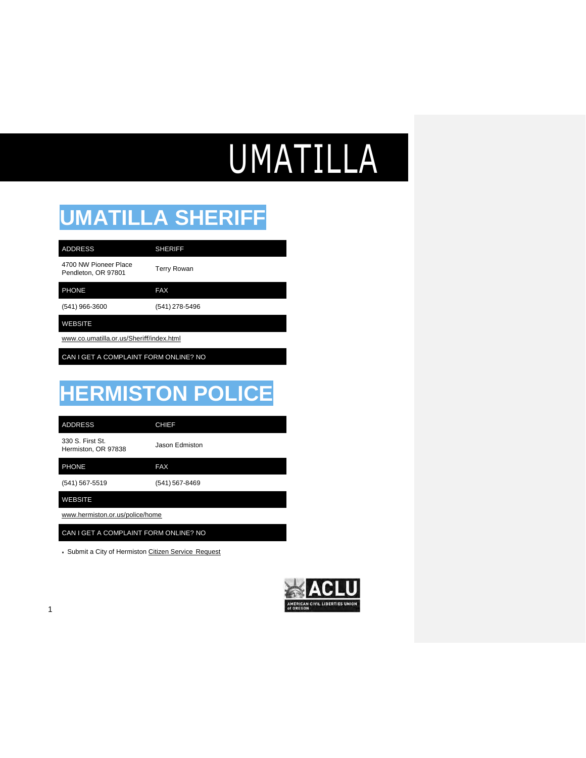# UMATILLA

## **UMATILLA SHERIFF**

4700 NW Pioneer Place ADDRESS SHERIFF

Pendleton, OR <sup>97801</sup> Terry Rowan

PHONE FAX

(541) 966-3600 (541) 278-5496

WEBSITE

[www.co.umatilla.or.us/Sheri](http://www.co.umatilla.or.us/Sheri%EF%AC%80/index.html)ff/index.html

CAN I GET A COMPLAINT FORM ONLINE? NO

## **HERMISTON POLICE**

ADDRESS CHIEF

330 S. First St. 330 S. First St.<br>Hermiston, OR 97838 Jason Edmiston

PHONE FAX

(541) 567-5519 (541) 567-8469

WEBSITE

[www.hermiston.or.us/police/home](http://www.hermiston.or.us/police/home)

CAN I GET A COMPLAINT FORM ONLINE? NO

• Submit a City of Hermiston Citizen Service Request

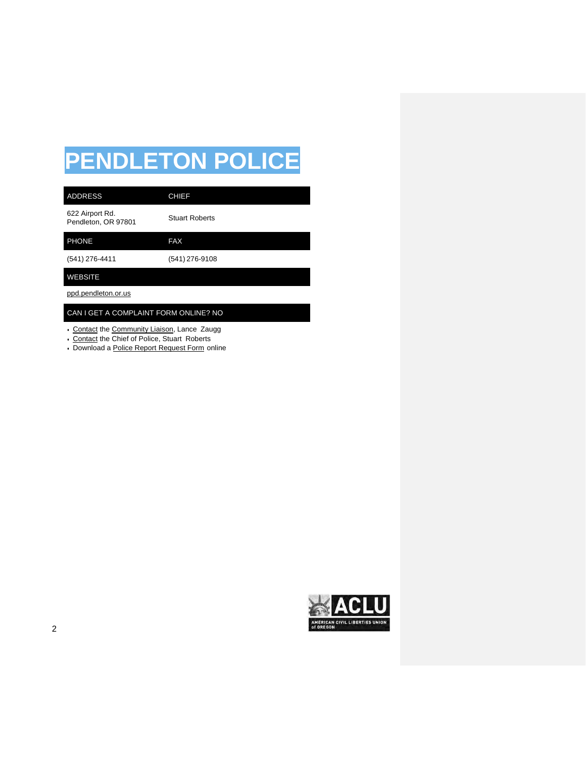## **PENDLETON POLICE**

| <b>ADDRESS</b>                         | <b>CHIEF</b>          |  |
|----------------------------------------|-----------------------|--|
| 622 Airport Rd.<br>Pendleton, OR 97801 | <b>Stuart Roberts</b> |  |
| <b>PHONE</b>                           | <b>FAX</b>            |  |
| (541) 276-4411                         | (541) 276-9108        |  |
| <b>WEBSITE</b>                         |                       |  |
| ppd.pendleton.or.us                    |                       |  |
| CAN I GET A COMPLAINT FORM ONLINE? NO  |                       |  |

- Contact the Community Liaison, Lance Zaugg
- Contact the Chief of Police, Stuart Roberts
- Download a Police Report Request Form online

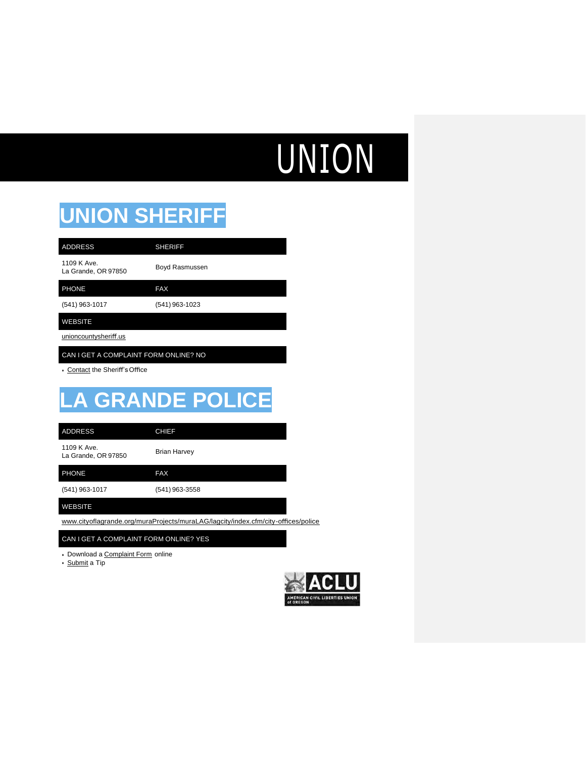# UNION

## **UNION SHERIFF**

| <b>ADDRESS</b>                     | <b>SHERIFF</b> |
|------------------------------------|----------------|
| 1109 K Ave.<br>La Grande, OR 97850 | Boyd Rasmussen |
| <b>PHONE</b>                       | <b>FAX</b>     |
| (541) 963-1017                     | (541) 963-1023 |
| <b>WEBSITE</b>                     |                |

unioncountysheriff.us

CAN I GET A COMPLAINT FORM ONLINE? NO

• Contact the Sheriff'sOffice

## **LA GRANDE POLICE**

ADDRESS CHIEF

1109 K Ave. TTU9 K Ave.<br>La Grande, OR 97850 Brian Harvey

PHONE FAX

(541) 963-1017 (541) 963-3558

#### WEBSITE

[www.cityoflagrande.org/muraProjects/muraLAG/lagcity/index.cfm/city-o](http://www.cityoflagrande.org/muraProjects/muraLAG/lagcity/index.cfm/city-o%EF%AC%83ces/police)ffices/police

CAN I GET A COMPLAINT FORM ONLINE? YES

• Download a Complaint Form online

• Submit a Tip

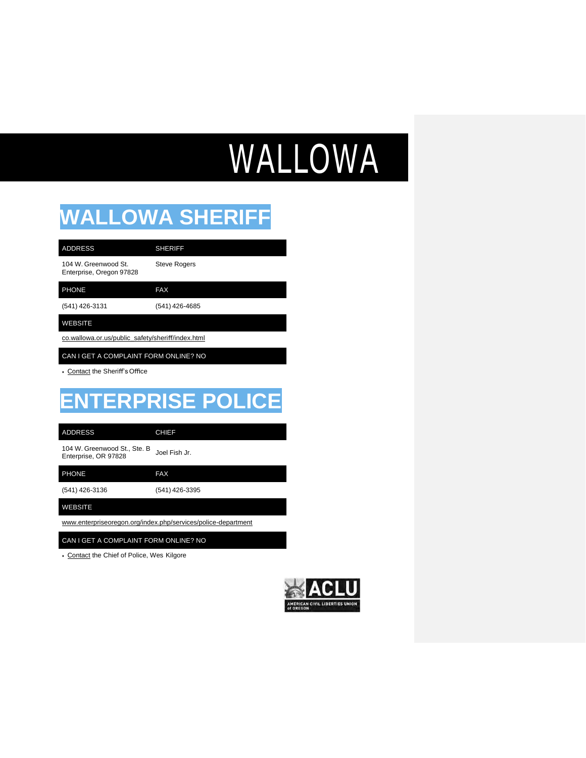# WALLOWA

### **WALLOWA SHERIFF**

| <b>ADDRESS</b>                                   | <b>SHERIFF</b> |
|--------------------------------------------------|----------------|
| 104 W. Greenwood St.<br>Enterprise, Oregon 97828 | Steve Rog      |

Steve Rogers

PHONE FAX

(541) 426-3131 (541) 426-4685

#### WEBSITE

co.wallowa.or.us/public\_safety/sheriff/index.html

CAN I GET A COMPLAINT FORM ONLINE? NO

• Contact the Sheriff'sOffice

## **ENTERPRISE POLICE**

ADDRESS CHIEF

104 W. Greenwood St., Ste. B 104 W. Greenwood St., Ste. B Joel Fish Jr.<br>Enterprise, OR 97828

PHONE FAX

(541) 426-3136 (541) 426-3395

WEBSITE

[www.enterpriseoregon.org/index.php/services/police-department](http://www.enterpriseoregon.org/index.php/services/police-department)

CAN I GET A COMPLAINT FORM ONLINE? NO

• Contact the Chief of Police, Wes Kilgore

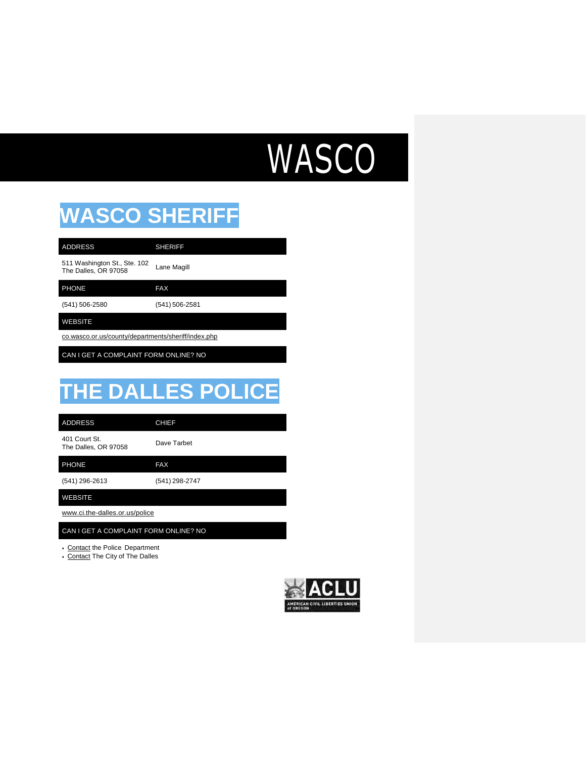## WASCO

### **WASCO SHERIFF**

| <b>ADDRESS</b>                                       | <b>SHERIFF</b> |
|------------------------------------------------------|----------------|
| 511 Washington St., Ste. 102<br>The Dalles, OR 97058 | Lane Magill    |
| <b>PHONE</b>                                         | <b>FAX</b>     |
| (541) 506-2580                                       | (541) 506-2581 |

WEBSITE

co.wasco.or.us/county/departments/sheriff/index.php

CAN I GET A COMPLAINT FORM ONLINE? NO

## **THE DALLES POLICE**

ADDRESS CHIEF

401 Court St. 401 Court St.<br>The Dalles, OR 97058 Dave Tarbet

PHONE FAX

(541) 296-2613 (541) 298-2747

WEBSITE

[www.ci.the-dalles.or.us/police](http://www.ci.the-dalles.or.us/police)

CAN I GET A COMPLAINT FORM ONLINE? NO

• Contact the Police Department

• Contact The City of The Dalles

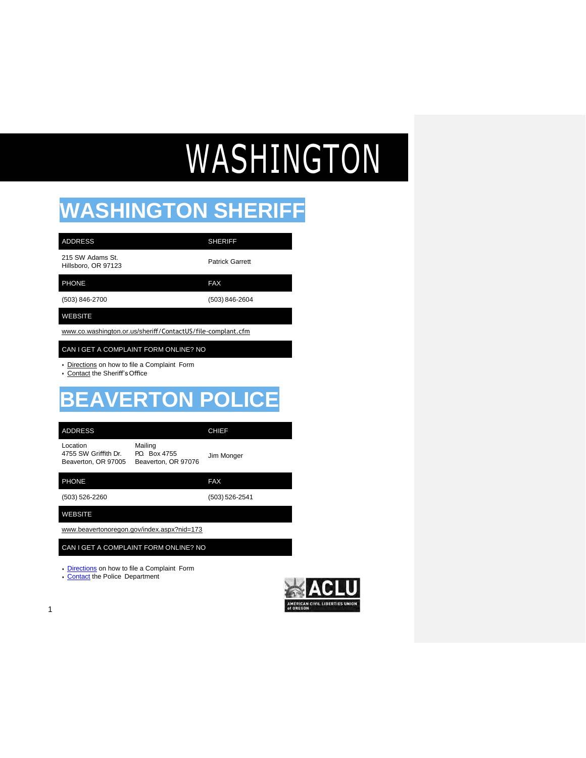# WASHINGTON

## **WASHINGTON SHERIFF**

| <b>ADDRESS</b>                                                                            | <b>SHERIFF</b>         |  |
|-------------------------------------------------------------------------------------------|------------------------|--|
| 215 SW Adams St.<br>Hillsboro, OR 97123                                                   | <b>Patrick Garrett</b> |  |
| <b>PHONE</b>                                                                              | <b>FAX</b>             |  |
| (503) 846-2700                                                                            | (503) 846-2604         |  |
| <b>WEBSITE</b>                                                                            |                        |  |
| www.co.washington.or.us/sheriff/ContactUS/file-complant.cfm                               |                        |  |
| CAN I GET A COMPLAINT FORM ONLINE? NO                                                     |                        |  |
| Directions on how to file a Complaint Form<br>$\bullet$<br>• Contact the Sheriff's Office |                        |  |

## **BEAVERTON POLICE**

| <b>ADDRESS</b>                                          |                                               | <b>CHIEF</b> |
|---------------------------------------------------------|-----------------------------------------------|--------------|
| Location<br>4755 SW Griffith Dr.<br>Beaverton, OR 97005 | Mailing<br>PO Box 4755<br>Beaverton, OR 97076 | Jim Monger   |
| <b>PHONE</b>                                            |                                               | FAX          |

| (503) 526-2260 | (503) 526-2541 |
|----------------|----------------|

WEBSITE

[www.beavertonoregon.gov/index.aspx?nid=173](http://www.beavertonoregon.gov/index.aspx?nid=173)

CAN I GET A COMPLAINT FORM ONLINE? NO

• [Directions](https://apps.beavertonoregon.gov/secure/ReportProblem/reportOther.aspx?id=34) on how to file a Complaint Form

• [Contact](https://apps.beavertonoregon.gov/secure/bpd/contact.aspx) the Police Department

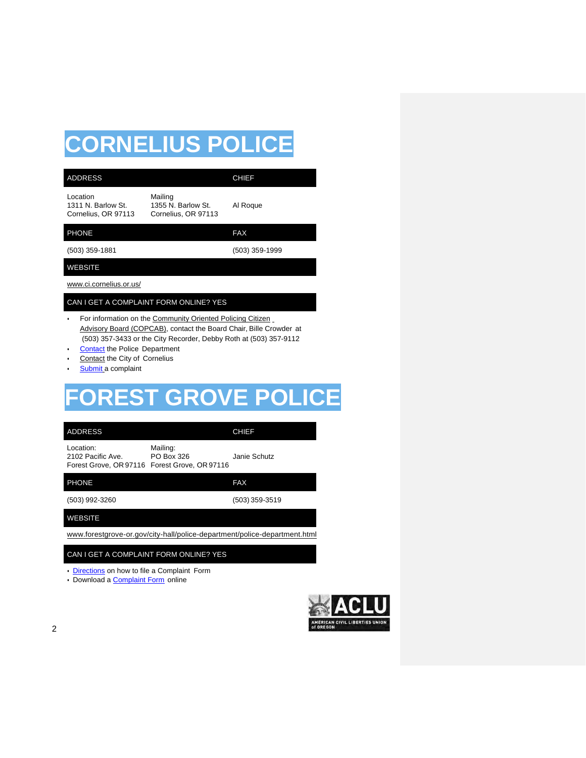## **CORNELIUS POLICE**

| <b>ADDRESS</b>                                                                                                     |                                                                                                                                                                                                       | <b>CHIEF</b>                                                              |  |
|--------------------------------------------------------------------------------------------------------------------|-------------------------------------------------------------------------------------------------------------------------------------------------------------------------------------------------------|---------------------------------------------------------------------------|--|
| Location<br>1311 N. Barlow St.<br>Cornelius, OR 97113                                                              | Mailing<br>1355 N. Barlow St.<br>Cornelius, OR 97113                                                                                                                                                  | Al Roque                                                                  |  |
| <b>PHONE</b>                                                                                                       |                                                                                                                                                                                                       | <b>FAX</b>                                                                |  |
| (503) 359-1881                                                                                                     |                                                                                                                                                                                                       | (503) 359-1999                                                            |  |
| WEBSITE                                                                                                            |                                                                                                                                                                                                       |                                                                           |  |
| www.ci.cornelius.or.us/                                                                                            |                                                                                                                                                                                                       |                                                                           |  |
| CAN I GET A COMPLAINT FORM ONLINE? YES                                                                             |                                                                                                                                                                                                       |                                                                           |  |
| $\bullet$<br><b>Contact the Police Department</b><br>Contact the City of Cornelius<br>٠<br>Submit a complaint<br>٠ | For information on the Community Oriented Policing Citizen<br>Advisory Board (COPCAB), contact the Board Chair, Bille Crowder at<br>(503) 357-3433 or the City Recorder, Debby Roth at (503) 357-9112 |                                                                           |  |
|                                                                                                                    |                                                                                                                                                                                                       | <b>FOREST GROVE POLICE</b>                                                |  |
| <b>ADDRESS</b>                                                                                                     |                                                                                                                                                                                                       | <b>CHIEF</b>                                                              |  |
| Location:<br>2102 Pacific Ave.                                                                                     | Mailing:<br>PO Box 326<br>Forest Grove, OR 97116 Forest Grove, OR 97116                                                                                                                               | Janie Schutz                                                              |  |
| <b>PHONE</b>                                                                                                       |                                                                                                                                                                                                       | <b>FAX</b>                                                                |  |
| (503) 992-3260                                                                                                     |                                                                                                                                                                                                       | (503) 359-3519                                                            |  |
| <b>WEBSITE</b>                                                                                                     |                                                                                                                                                                                                       |                                                                           |  |
|                                                                                                                    |                                                                                                                                                                                                       | www.forestgrove-or.gov/city-hall/police-department/police-department.html |  |

### CAN I GET A COMPLAINT FORM ONLINE? YES

- [Directions](http://www.forestgrove-or.gov/police/page/citizen-complaint-procedure) on how to file a Complaint Form
- Download a [Complaint Form](http://www.forestgrove-or.gov/sites/default/files/fileattachments/police/page/3181/citizen_complaint_report_1.pdf) online

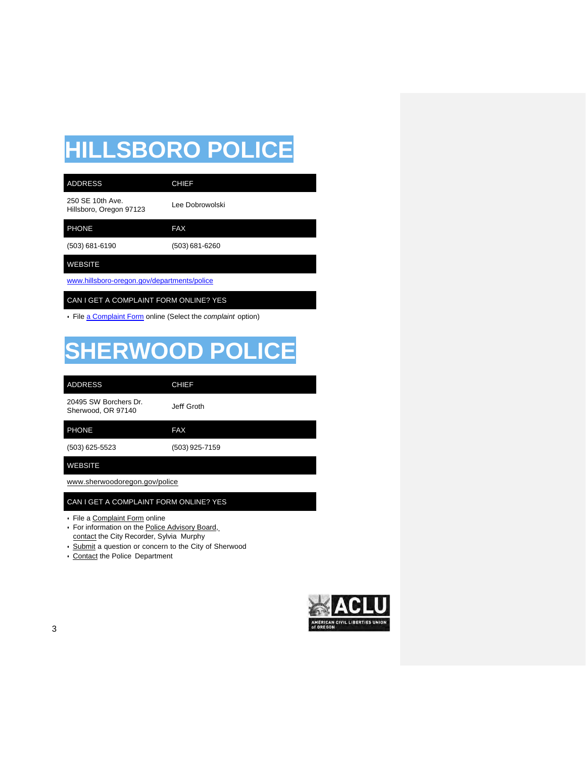## **HILLSBORO POLICE**

| <b>ADDRESS</b>                              | <b>CHIEF</b>    |  |
|---------------------------------------------|-----------------|--|
| 250 SE 10th Ave.<br>Hillsboro, Oregon 97123 | Lee Dobrowolski |  |
| <b>PHONE</b>                                | <b>FAX</b>      |  |
| (503) 681-6190                              | (503) 681-6260  |  |
| <b>WEBSITE</b>                              |                 |  |
| www.hillsboro-oregon.gov/departments/police |                 |  |

CAN I GET A COMPLAINT FORM ONLINE? YES

• File [a Complaint Form](https://www.hillsboro-oregon.gov/city-services-overview/contact-us/suggestion-box/police-suggestion-box) online (Select the *complaint* option)

## **SHERWOOD POLICE**

| <b>ADDRESS</b>                              | <b>CHIEF</b>   |
|---------------------------------------------|----------------|
| 20495 SW Borchers Dr.<br>Sherwood, OR 97140 | Jeff Groth     |
| <b>PHONE</b>                                | <b>FAX</b>     |
| (503) 625-5523                              | (503) 925-7159 |
| WEBSITE                                     |                |

[www.sherwoodoregon.gov/police](http://www.sherwoodoregon.gov/police)

#### CAN I GET A COMPLAINT FORM ONLINE? YES

- File a Complaint Form online
- For information on the Police Advisory Board, contact the City Recorder, Sylvia Murphy
- Submit a question or concern to the City of Sherwood
- Contact the Police Department

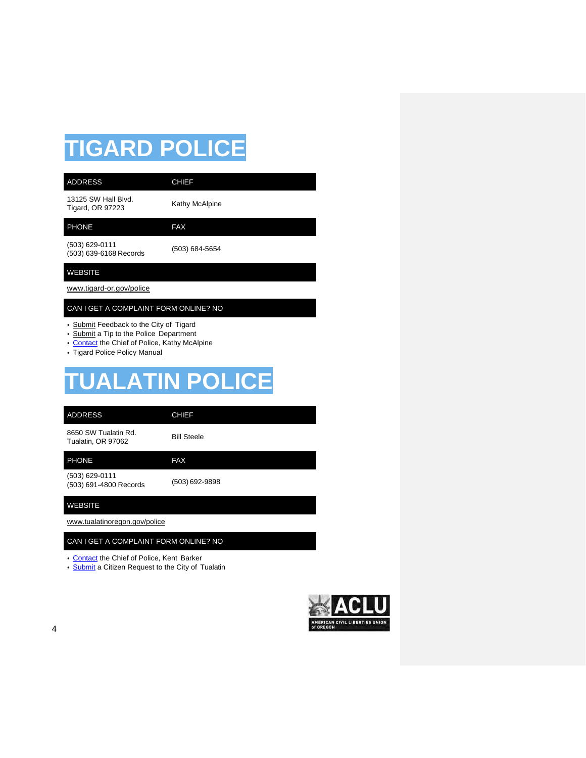## **TIGARD POLICE**

| <b>ADDRESS</b>                                 | <b>CHIEF</b>   |  |
|------------------------------------------------|----------------|--|
| 13125 SW Hall Blvd.<br><b>Tigard, OR 97223</b> | Kathy McAlpine |  |
| <b>PHONE</b>                                   | <b>FAX</b>     |  |
| $(503)$ 629-0111<br>(503) 639-6168 Records     | (503) 684-5654 |  |
| <b>WEBSITE</b>                                 |                |  |
| www.tigard-or.gov/police                       |                |  |
| CAN I GET A COMPLAINT FORM ONLINE? NO          |                |  |

- Submit Feedback to the City of Tigard
- Submit a Tip to the Police Department
- [Contact](http://www.tigard-or.gov/police/chief.ph) the Chief of Police, Kathy McAlpine
- Tigard Police Policy Manual

## **TUALATIN POLICE**

| <b>ADDRESS</b>                             | <b>CHIEF</b>       |
|--------------------------------------------|--------------------|
| 8650 SW Tualatin Rd.<br>Tualatin, OR 97062 | <b>Bill Steele</b> |
| <b>PHONE</b>                               | <b>FAX</b>         |
| (503) 629-0111<br>(503) 691-4800 Records   | (503) 692-9898     |

WEBSITE

[www.tualatinoregon.gov/police](http://www.tualatinoregon.gov/police)

#### CAN I GET A COMPLAINT FORM ONLINE? NO

- [Contact](https://www.tualatinoregon.gov/police/chiefs-message) the Chief of Police, Kent Barker
- **[Submit](https://www.tualatinoregon.gov/contact)** a Citizen Request to the City of Tualatin

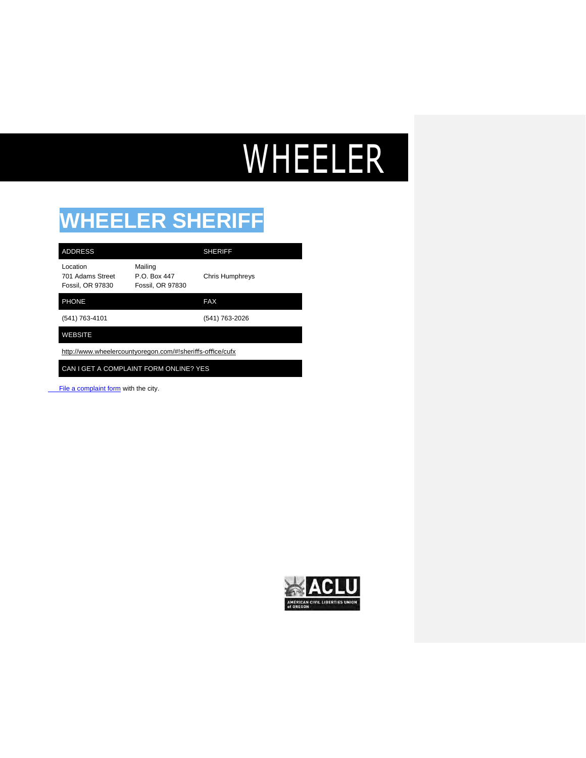# WHEELER

## **WHEELER SHERIFF**

| <b>ADDRESS</b>                                            |                                                    | <b>SHERIFF</b>         |
|-----------------------------------------------------------|----------------------------------------------------|------------------------|
| Location<br>701 Adams Street<br><b>Fossil, OR 97830</b>   | Mailing<br>P.O. Box 447<br><b>Fossil, OR 97830</b> | <b>Chris Humphreys</b> |
| <b>PHONE</b>                                              |                                                    | <b>FAX</b>             |
| (541) 763-4101                                            |                                                    | (541) 763-2026         |
| <b>WEBSITE</b>                                            |                                                    |                        |
| http://www.wheelercountyoregon.com/#!sheriffs-office/cufx |                                                    |                        |

CAN I GET A COMPLAINT FORM ONLINE? YES

File a complaint form with the city.

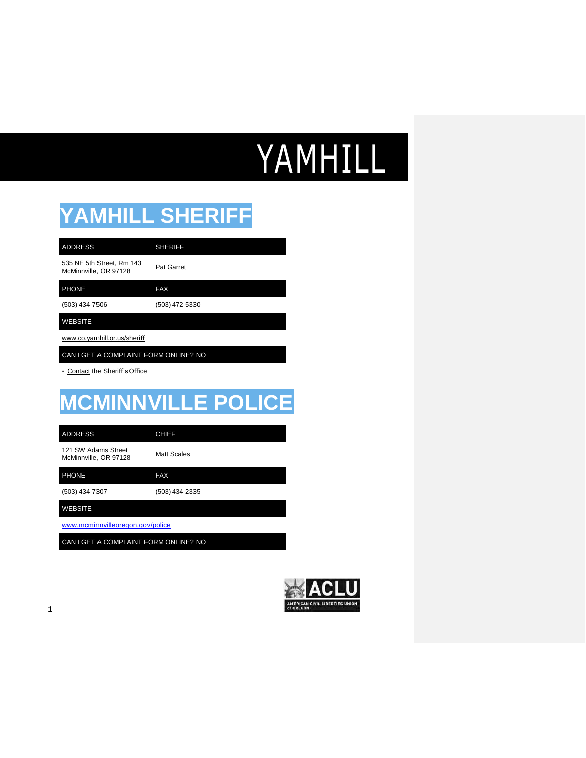# YAMHILL

### **YAMHILL SHERIFF**

| <b>ADDRESS</b>                                     | <b>SHERIFF</b>    |
|----------------------------------------------------|-------------------|
| 535 NE 5th Street, Rm 143<br>McMinnville, OR 97128 | <b>Pat Garret</b> |

PHONE FAX

(503) 434-7506 (503) 472-5330

### WEBSITE

[www.co.yamhill.or.us/sheri](http://www.co.yamhill.or.us/sheri%EF%AC%80)ff

CAN I GET A COMPLAINT FORM ONLINE? NO

• Contact the Sheriff'sOffice

## **MCMINNVILLE POLICE**

ADDRESS CHIEF

121 SW Adams Street McMinnville, OR 97128 Matt Scales

PHONE FAX

(503) 434-7307 (503) 434-2335

WEBSITE

[www.mcminnvilleoregon.gov/police](http://www.mcminnvilleoregon.gov/police)

CAN I GET A COMPLAINT FORM ONLINE? NO